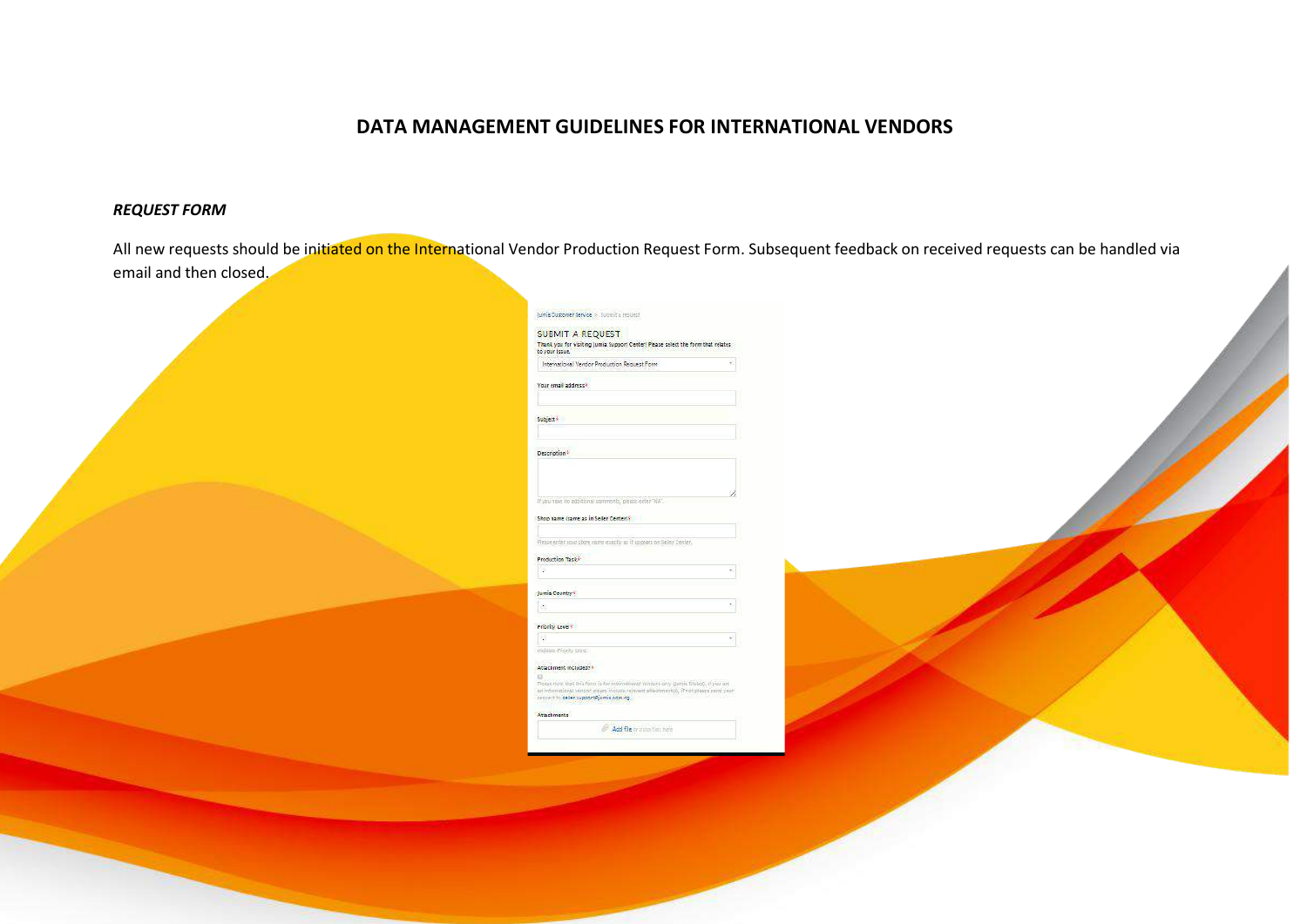## **DATA MANAGEMENT GUIDELINES FOR INTERNATIONAL VENDORS**

#### *REQUEST FORM*

All new requests should be initiated on the International Vendor Production Request Form. Subsequent feedback on received requests can be handled via email and then closed.

| <b>SUBMIT A REOUEST</b>                                                                                                                                                                                                                                                                                                              |  |
|--------------------------------------------------------------------------------------------------------------------------------------------------------------------------------------------------------------------------------------------------------------------------------------------------------------------------------------|--|
| Thank you for visiting Jumia Support Center! Please select the form that relates                                                                                                                                                                                                                                                     |  |
| to your issue.                                                                                                                                                                                                                                                                                                                       |  |
| International Vendor Production Request Form                                                                                                                                                                                                                                                                                         |  |
| Your email address*                                                                                                                                                                                                                                                                                                                  |  |
| Subject                                                                                                                                                                                                                                                                                                                              |  |
|                                                                                                                                                                                                                                                                                                                                      |  |
| Description <sup>1</sup>                                                                                                                                                                                                                                                                                                             |  |
|                                                                                                                                                                                                                                                                                                                                      |  |
|                                                                                                                                                                                                                                                                                                                                      |  |
| If you have no additional comments, please enter "NA".                                                                                                                                                                                                                                                                               |  |
| Shop name (same as in Seller Center) ?                                                                                                                                                                                                                                                                                               |  |
|                                                                                                                                                                                                                                                                                                                                      |  |
| Finase enter your store name exactly as it eopeans on Seller Denter.                                                                                                                                                                                                                                                                 |  |
|                                                                                                                                                                                                                                                                                                                                      |  |
| Production Task *                                                                                                                                                                                                                                                                                                                    |  |
|                                                                                                                                                                                                                                                                                                                                      |  |
| B                                                                                                                                                                                                                                                                                                                                    |  |
|                                                                                                                                                                                                                                                                                                                                      |  |
|                                                                                                                                                                                                                                                                                                                                      |  |
|                                                                                                                                                                                                                                                                                                                                      |  |
| Ø,                                                                                                                                                                                                                                                                                                                                   |  |
|                                                                                                                                                                                                                                                                                                                                      |  |
| 欲                                                                                                                                                                                                                                                                                                                                    |  |
|                                                                                                                                                                                                                                                                                                                                      |  |
|                                                                                                                                                                                                                                                                                                                                      |  |
|                                                                                                                                                                                                                                                                                                                                      |  |
|                                                                                                                                                                                                                                                                                                                                      |  |
|                                                                                                                                                                                                                                                                                                                                      |  |
| <b>Jumia Country's</b><br>Priority Level *<br>Indicate-Priority Level<br>Attachment Included? **<br>D<br>Rease note that this form is for international vendors only (jumia Global). If you are<br>en international vendor please include relevant attachment(s), if not please send your<br>request to seller support@jumia.com.no. |  |
| Attachments                                                                                                                                                                                                                                                                                                                          |  |

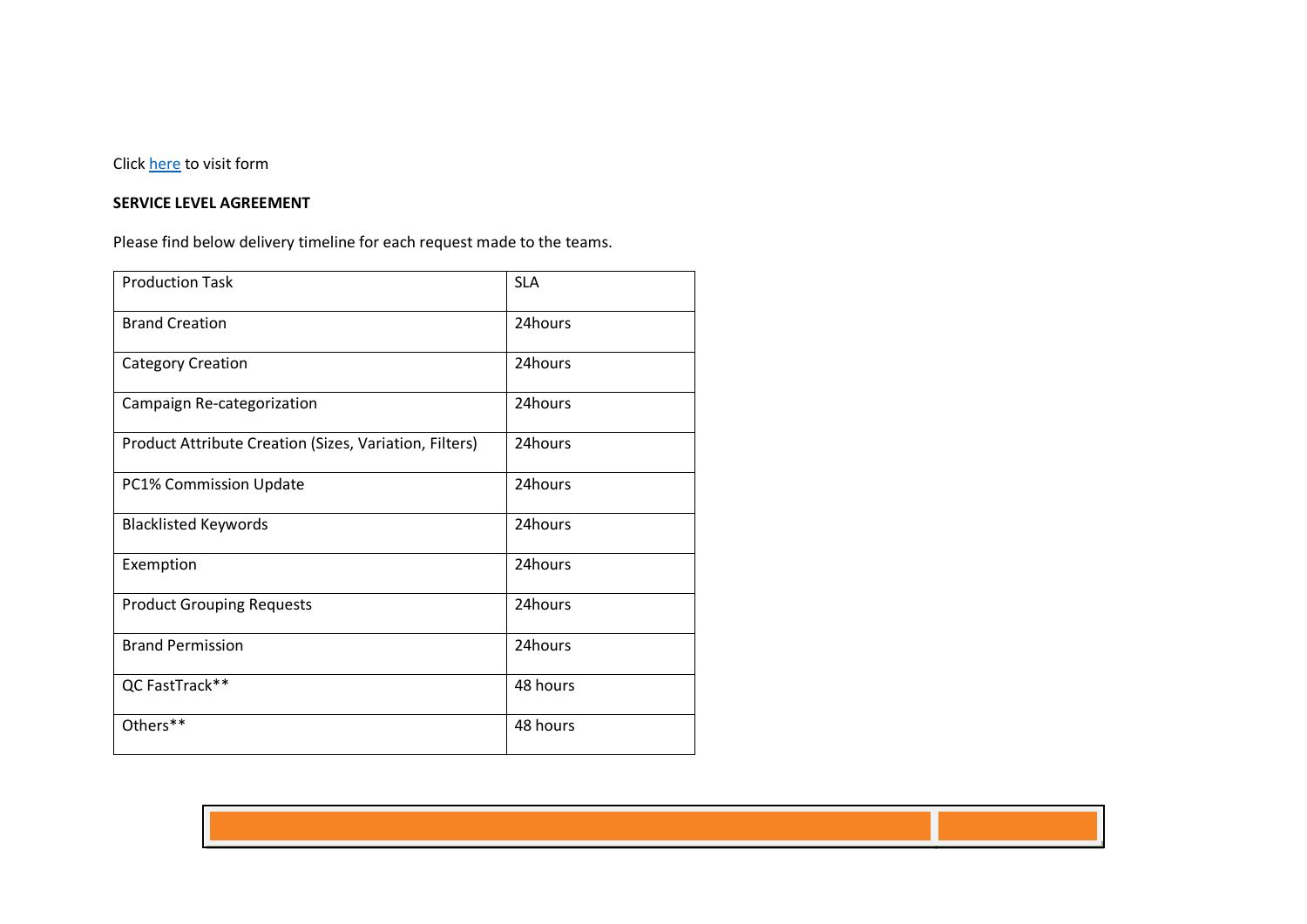## Click here to visit form

#### **SERVICE LEVEL AGREEMENT**

Please find below delivery timeline for each request made to the teams.

| <b>Production Task</b>                                 | <b>SLA</b> |
|--------------------------------------------------------|------------|
| <b>Brand Creation</b>                                  | 24hours    |
| <b>Category Creation</b>                               | 24hours    |
| Campaign Re-categorization                             | 24hours    |
| Product Attribute Creation (Sizes, Variation, Filters) | 24hours    |
| PC1% Commission Update                                 | 24hours    |
| <b>Blacklisted Keywords</b>                            | 24hours    |
| Exemption                                              | 24hours    |
| <b>Product Grouping Requests</b>                       | 24hours    |
| <b>Brand Permission</b>                                | 24hours    |
| QC FastTrack**                                         | 48 hours   |
| Others**                                               | 48 hours   |

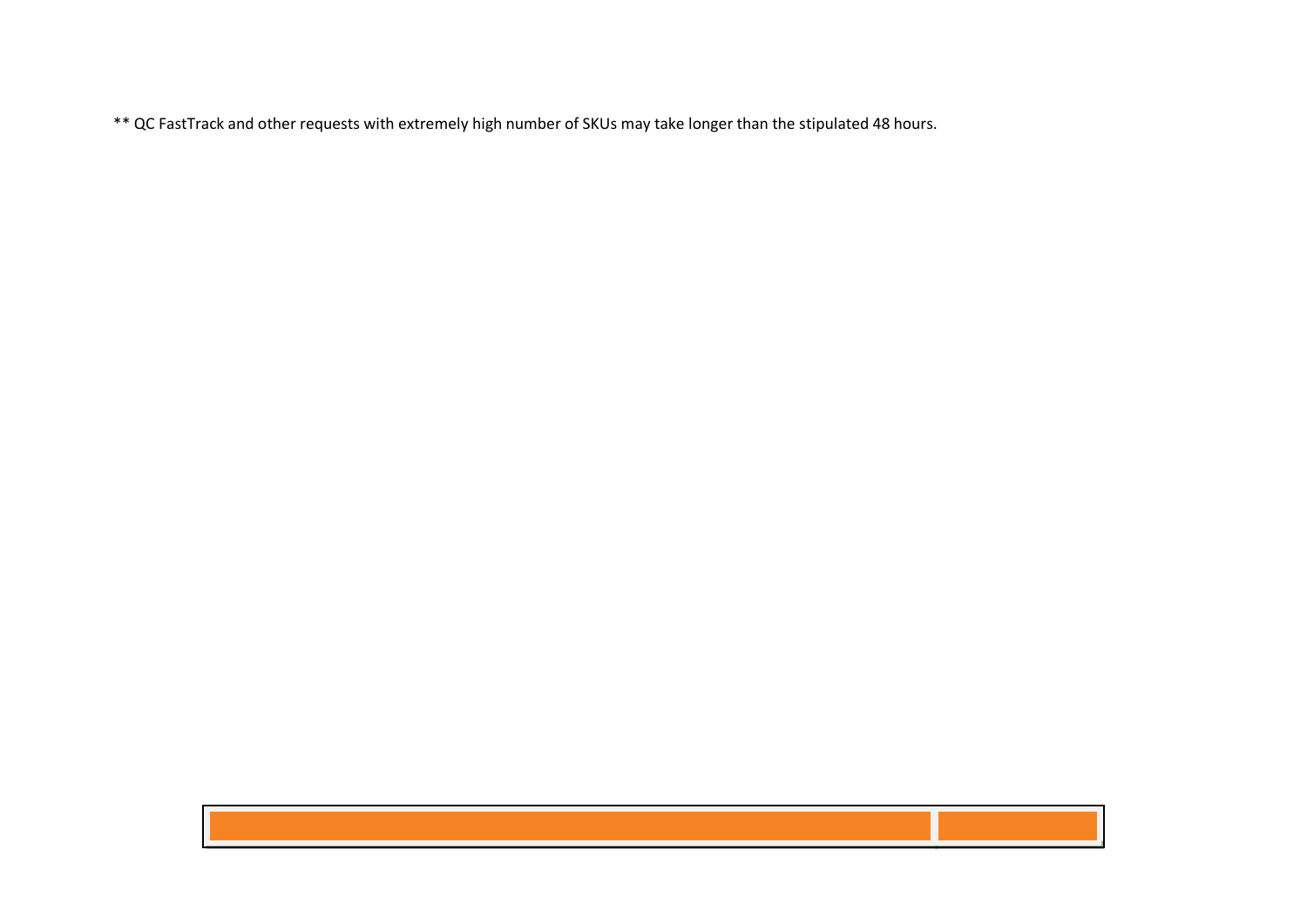\*\* QC FastTrack and other requests with extremely high number of SKUs may take longer than the stipulated 48 hours.

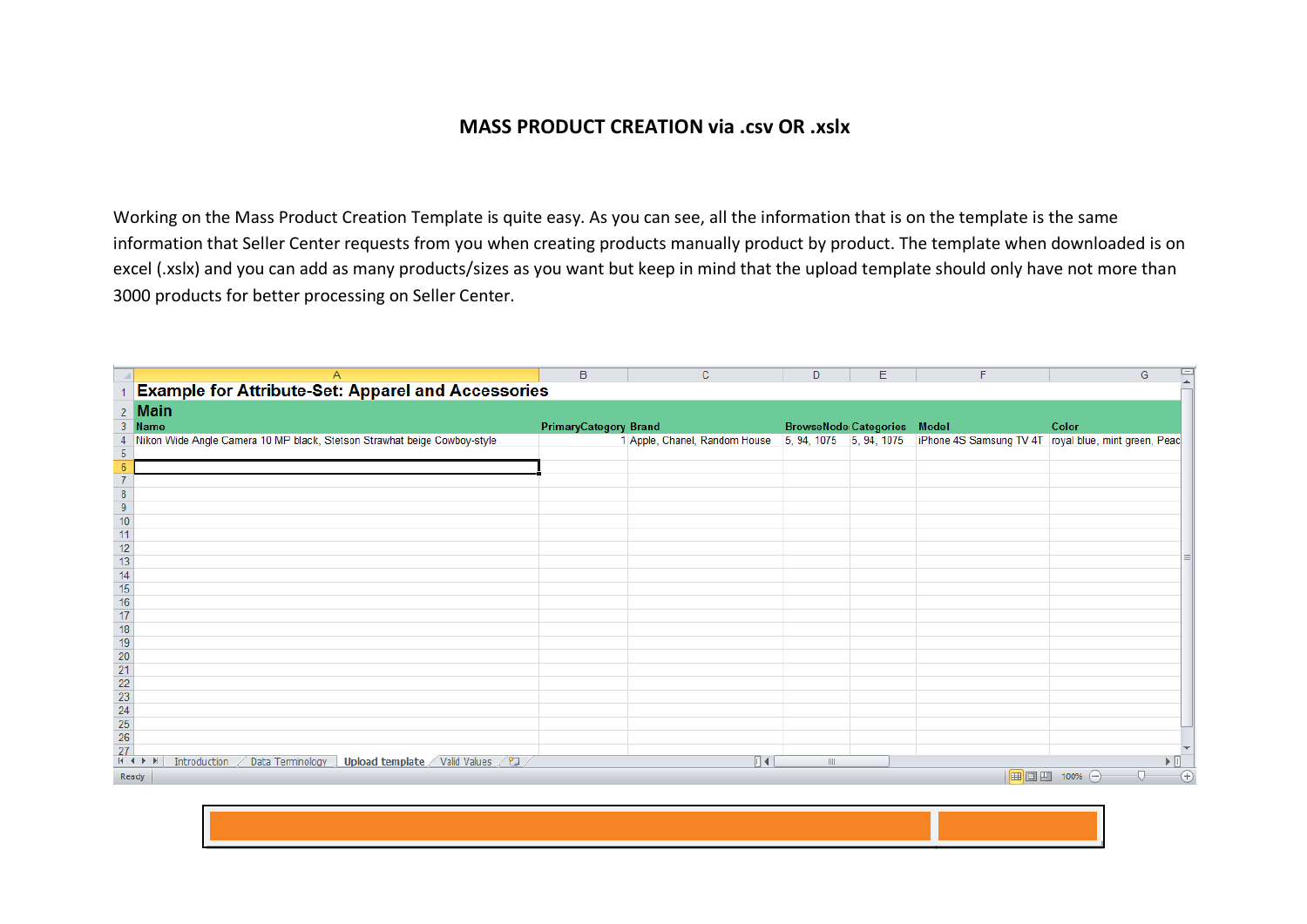## **MASS PRODUCT CREATION via .csv OR .xslx**

Working on the Mass Product Creation Template is quite easy. As you can see, all the information that is on the template is the same information that Seller Center requests from you when creating products manually product by product. The template when downloaded is on excel (.xslx) and you can add as many products/sizes as you want but keep in mind that the upload template should only have not more than 3000 products for better processing on Seller Center.

|                | A                                                                                                       | B                            | $\mathbf{C}$                                          | D              | E.                                 | F | $\Box$<br>G                                          |
|----------------|---------------------------------------------------------------------------------------------------------|------------------------------|-------------------------------------------------------|----------------|------------------------------------|---|------------------------------------------------------|
|                | <b>Example for Attribute-Set: Apparel and Accessories</b>                                               |                              |                                                       |                |                                    |   |                                                      |
|                | 2 Main                                                                                                  |                              |                                                       |                |                                    |   |                                                      |
|                | 3 Name                                                                                                  | <b>PrimaryCategory Brand</b> |                                                       |                | <b>BrowseNode Categories Model</b> |   | Color                                                |
| 4              | Nikon Wide Angle Camera 10 MP black, Stetson Strawhat beige Cowboy-style                                |                              | 1 Apple, Chanel, Random House 5, 94, 1075 5, 94, 1075 |                |                                    |   | iPhone 4S Samsung TV 4T royal blue, mint green, Peac |
| 5              |                                                                                                         |                              |                                                       |                |                                    |   |                                                      |
| 6 <sup>1</sup> |                                                                                                         |                              |                                                       |                |                                    |   |                                                      |
| $\overline{7}$ |                                                                                                         |                              |                                                       |                |                                    |   |                                                      |
|                |                                                                                                         |                              |                                                       |                |                                    |   |                                                      |
|                |                                                                                                         |                              |                                                       |                |                                    |   |                                                      |
|                |                                                                                                         |                              |                                                       |                |                                    |   |                                                      |
|                |                                                                                                         |                              |                                                       |                |                                    |   |                                                      |
|                |                                                                                                         |                              |                                                       |                |                                    |   |                                                      |
|                |                                                                                                         |                              |                                                       |                |                                    |   |                                                      |
|                |                                                                                                         |                              |                                                       |                |                                    |   |                                                      |
|                |                                                                                                         |                              |                                                       |                |                                    |   |                                                      |
|                |                                                                                                         |                              |                                                       |                |                                    |   |                                                      |
|                |                                                                                                         |                              |                                                       |                |                                    |   |                                                      |
|                |                                                                                                         |                              |                                                       |                |                                    |   |                                                      |
|                |                                                                                                         |                              |                                                       |                |                                    |   |                                                      |
|                |                                                                                                         |                              |                                                       |                |                                    |   |                                                      |
|                |                                                                                                         |                              |                                                       |                |                                    |   |                                                      |
|                |                                                                                                         |                              |                                                       |                |                                    |   |                                                      |
|                |                                                                                                         |                              |                                                       |                |                                    |   |                                                      |
|                | Upload template Valid Values / 2<br>Introduction<br>Data Terminology<br>$M \leftarrow \mathbb{R}$ , $M$ |                              | $\overline{\mathbb{R}}$ 4                             | $\mathbf{III}$ |                                    |   | ÞП.                                                  |
| Ready          |                                                                                                         |                              |                                                       |                |                                    |   | 田回凹 100% ←<br>$\bigoplus$                            |

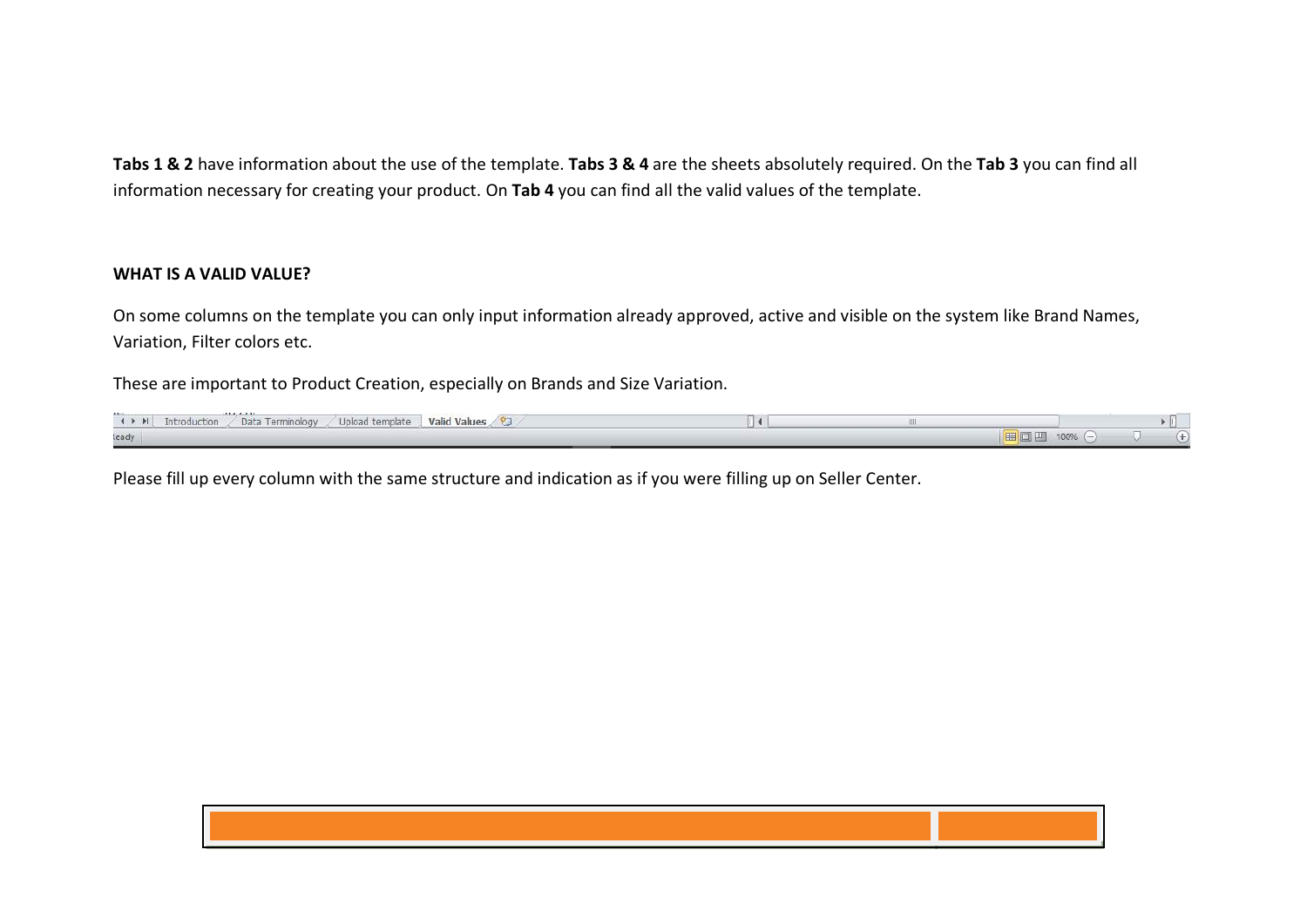**Tabs 1 & 2** have information about the use of the template. **Tabs 3 & 4** are the sheets absolutely required. On the **Tab 3** you can find all information necessary for creating your product. On **Tab 4** you can find all the valid values of the template.

#### **WHAT IS A VALID VALUE?**

On some columns on the template you can only input information already approved, active and visible on the system like Brand Names, Variation, Filter colors etc.

These are important to Product Creation, especially on Brands and Size Variation.



Please fill up every column with the same structure and indication as if you were filling up on Seller Center.

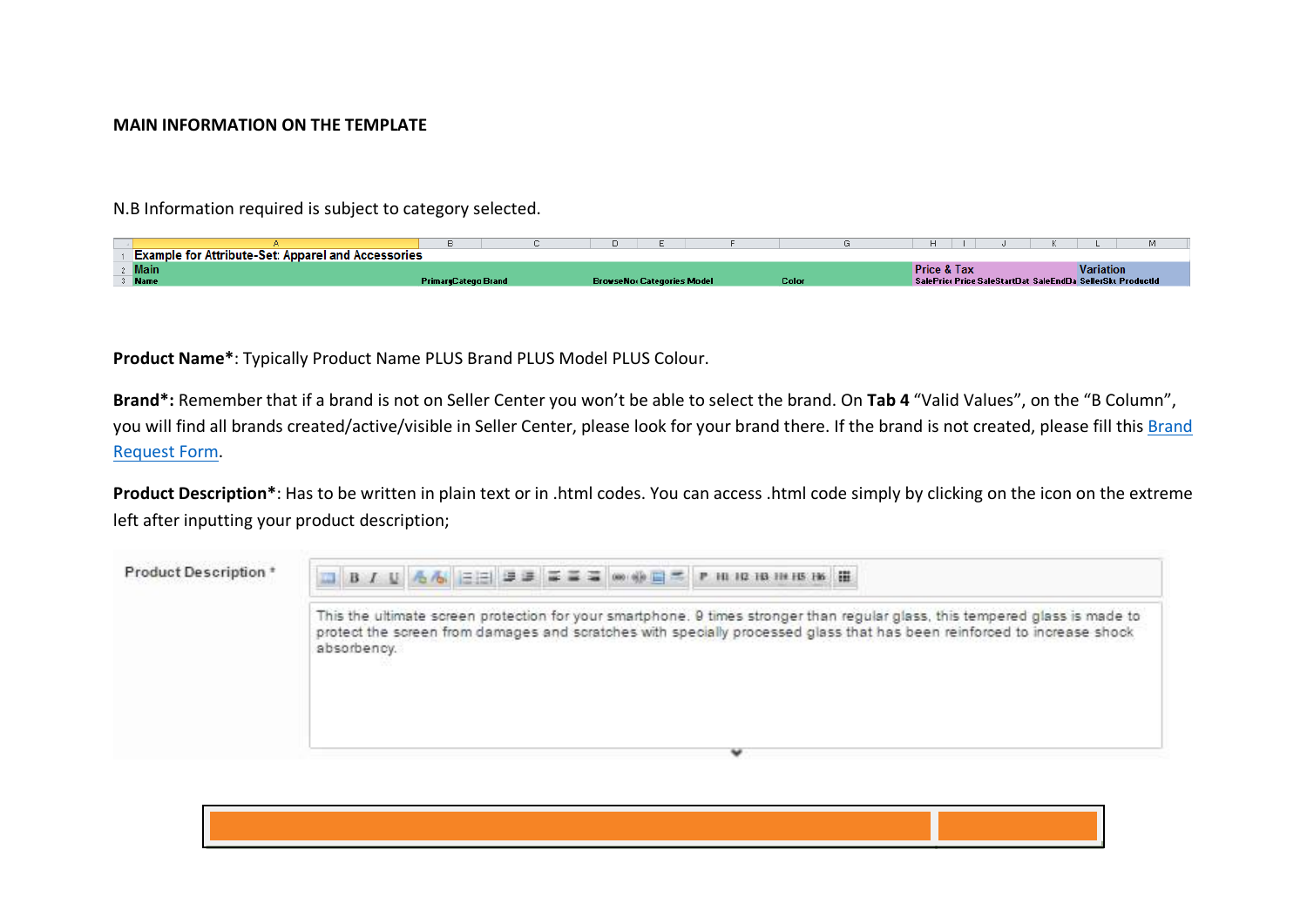#### **MAIN INFORMATION ON THE TEMPLATE**

N.B Information required is subject to category selected.

|                                                           |                     |  |                                   |  |  |  |       |                        |  |                                                                   | M. |
|-----------------------------------------------------------|---------------------|--|-----------------------------------|--|--|--|-------|------------------------|--|-------------------------------------------------------------------|----|
| <b>Example for Attribute-Set: Apparel and Accessories</b> |                     |  |                                   |  |  |  |       |                        |  |                                                                   |    |
| Main                                                      |                     |  |                                   |  |  |  |       | <b>Price &amp; Tax</b> |  | <b>Variation</b>                                                  |    |
| <b>Name</b>                                               | PrimaryCatego Brand |  | <b>BrowseNor Categories Model</b> |  |  |  | Color |                        |  | <b>SalePrice Price SaleStartDat SaleEndDa SellerSkt ProductId</b> |    |

**Product Name\***: Typically Product Name PLUS Brand PLUS Model PLUS Colour.

**Brand\*:** Remember that if a brand is not on Seller Center you won't be able to select the brand. On **Tab 4** "Valid Values", on the "B Column", you will find all brands created/active/visible in Seller Center, please look for your brand there. If the brand is not created, please fill this Brand Request Form.

**Product Description\***: Has to be written in plain text or in .html codes. You can access .html code simply by clicking on the icon on the extreme left after inputting your product description;



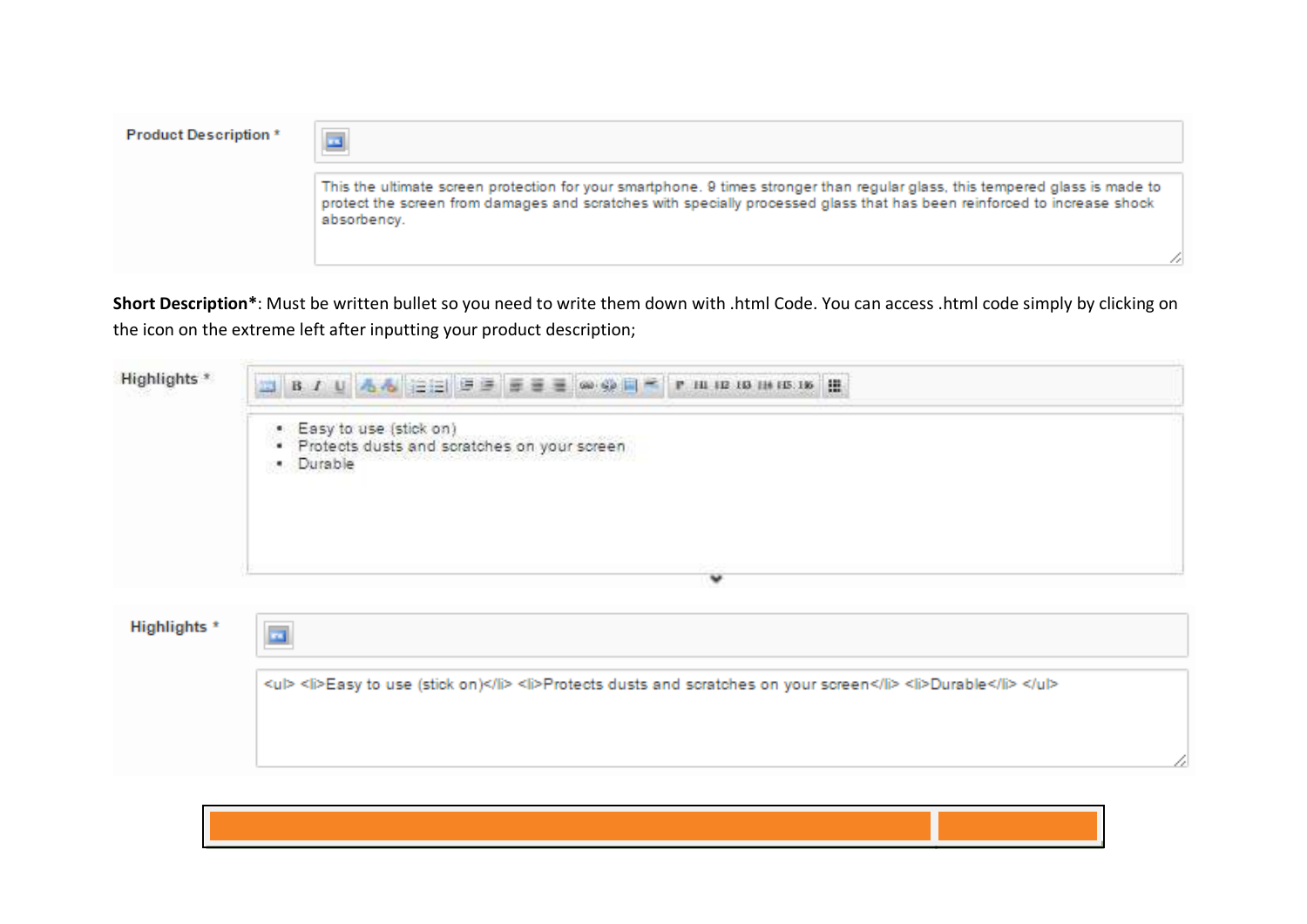| <b>Product Description *</b> |                                                                                                                                                                                                                                                                        |  |
|------------------------------|------------------------------------------------------------------------------------------------------------------------------------------------------------------------------------------------------------------------------------------------------------------------|--|
|                              | This the ultimate screen protection for your smartphone. 9 times stronger than regular glass, this tempered glass is made to<br>protect the screen from damages and scratches with specially processed glass that has been reinforced to increase shock<br>absorbency. |  |

**Short Description\***: Must be written bullet so you need to write them down with .html Code. You can access .html code simply by clicking on the icon on the extreme left after inputting your product description;

| Highlights <sup>*</sup> | BIBID & C EE FIII SI FIII OO FI FIII DO DINISIN H                                                            |  |  |  |  |  |
|-------------------------|--------------------------------------------------------------------------------------------------------------|--|--|--|--|--|
|                         | · Easy to use (stick on)<br>· Protects dusts and scratches on your screen<br>Durable<br>۰.                   |  |  |  |  |  |
|                         | v                                                                                                            |  |  |  |  |  |
|                         |                                                                                                              |  |  |  |  |  |
| <b>Highlights *</b>     |                                                                                                              |  |  |  |  |  |
|                         | <ul><li>Easy to use (stick on)</li><li>Protects dusts and scratches on your screen</li><li>Durable</li></ul> |  |  |  |  |  |
|                         |                                                                                                              |  |  |  |  |  |

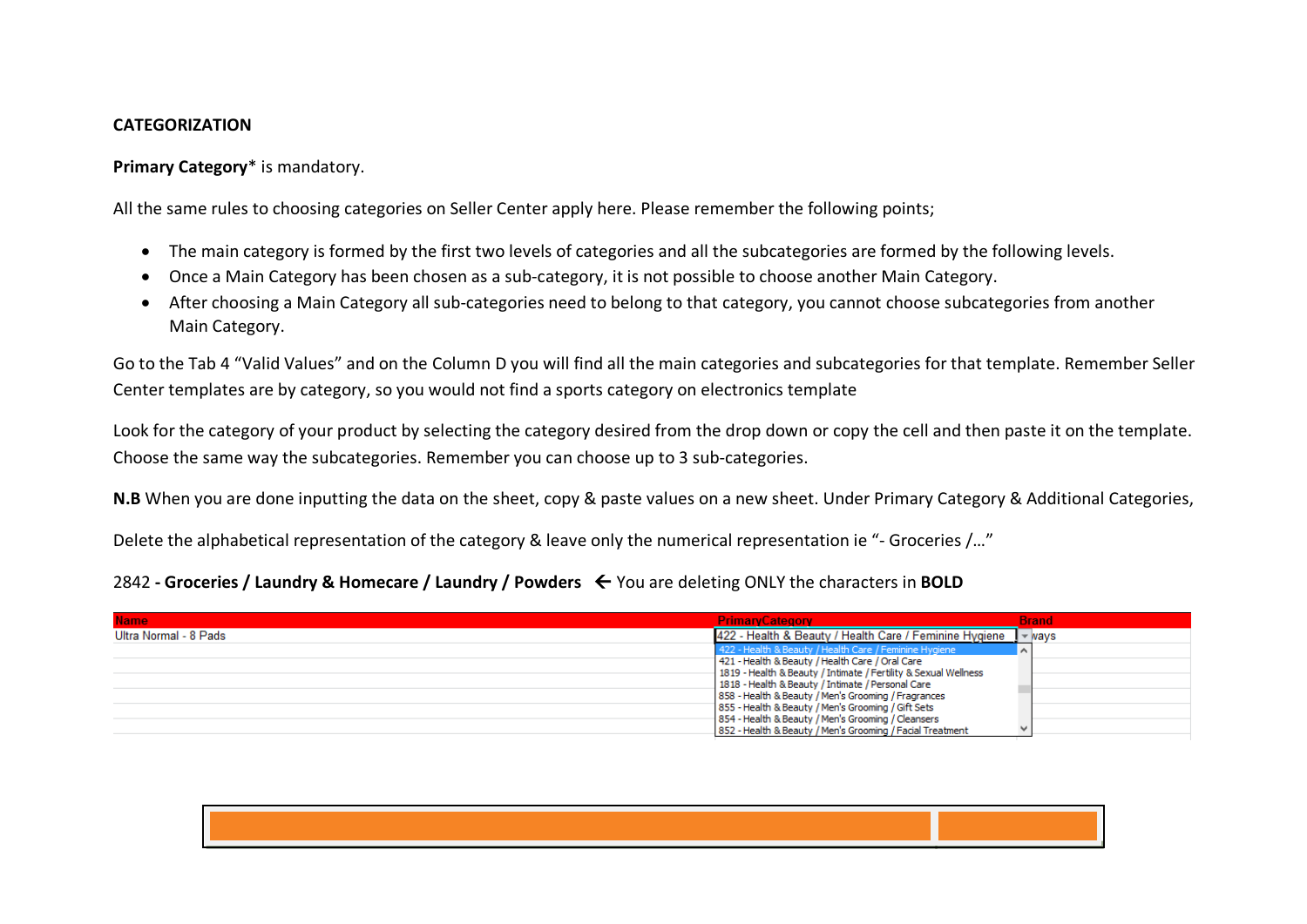#### **CATEGORIZATION**

**Primary Category**\* is mandatory.

All the same rules to choosing categories on Seller Center apply here. Please remember the following points;

- The main category is formed by the first two levels of categories and all the subcategories are formed by the following levels.
- Once a Main Category has been chosen as a sub-category, it is not possible to choose another Main Category.
- After choosing a Main Category all sub-categories need to belong to that category, you cannot choose subcategories from another Main Category.

Go to the Tab 4 "Valid Values" and on the Column D you will find all the main categories and subcategories for that template. Remember Seller Center templates are by category, so you would not find a sports category on electronics template

Look for the category of your product by selecting the category desired from the drop down or copy the cell and then paste it on the template. Choose the same way the subcategories. Remember you can choose up to 3 sub-categories.

**N.B** When you are done inputting the data on the sheet, copy & paste values on a new sheet. Under Primary Category & Additional Categories,

Delete the alphabetical representation of the category & leave only the numerical representation ie "- Groceries /…"

## 2842 **- Groceries / Laundry & Homecare / Laundry / Powders** ß You are deleting ONLY the characters in **BOLD**

| <b>Name</b>           | <b>PrimaryCategory</b>                                                                                             | <b>Brand</b> |
|-----------------------|--------------------------------------------------------------------------------------------------------------------|--------------|
| Ultra Normal - 8 Pads | 422 - Health & Beauty / Health Care / Feminine Hygiene                                                             | $I -$ ways   |
|                       | 422 - Health & Beauty / Health Care / Feminine Hygiene                                                             |              |
|                       | 421 - Health & Beauty / Health Care / Oral Care<br>1819 - Health & Beauty / Intimate / Fertility & Sexual Wellness |              |
|                       | 1818 - Health & Beauty / Intimate / Personal Care                                                                  |              |
|                       | 858 - Health & Beauty / Men's Grooming / Fragrances                                                                |              |
|                       | 855 - Health & Beauty / Men's Grooming / Gift Sets                                                                 |              |
|                       | 854 - Health & Beauty / Men's Grooming / Cleansers<br>852 - Health & Beauty / Men's Grooming / Facial Treatment    |              |

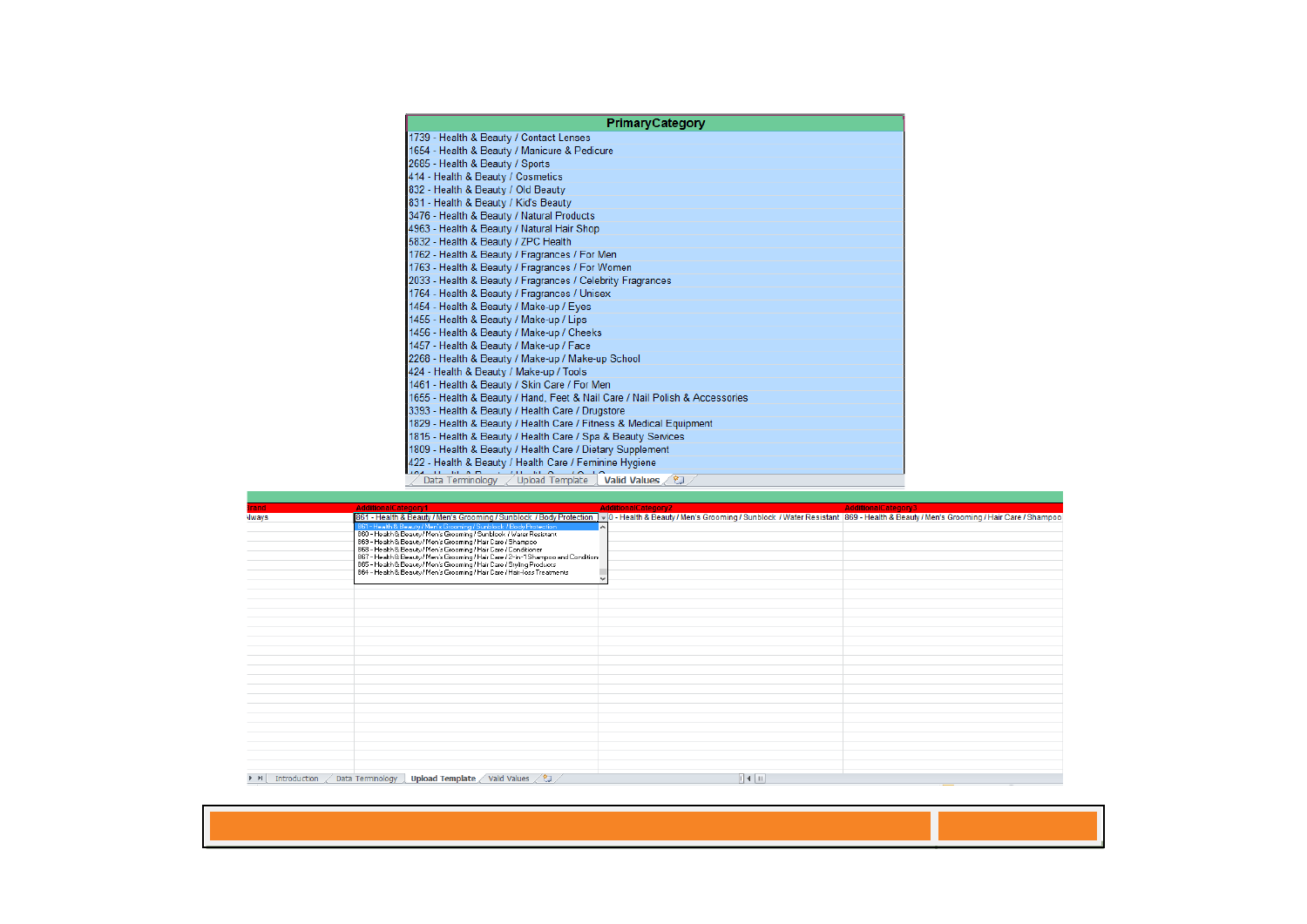| PrimaryCategory                                                             |
|-----------------------------------------------------------------------------|
| 1739 - Health & Beauty / Contact Lenses                                     |
| 1654 - Health & Beauty / Manicure & Pedicure                                |
| 2685 - Health & Beauty / Sports                                             |
| 414 - Health & Beauty / Cosmetics                                           |
| 832 - Health & Beauty / Old Beauty                                          |
| 831 - Health & Beauty / Kid's Beauty                                        |
| 3476 - Health & Beauty / Natural Products                                   |
| 4963 - Health & Beauty / Natural Hair Shop                                  |
| 5832 - Health & Beauty / ZPC Health                                         |
| 1762 - Health & Beauty / Fragrances / For Men                               |
| 1763 - Health & Beauty / Fragrances / For Women                             |
| 2033 - Health & Beauty / Fragrances / Celebrity Fragrances                  |
| 1764 - Health & Beauty / Fragrances / Unisex                                |
| 1454 - Health & Beauty / Make-up / Eyes                                     |
| 1455 - Health & Beauty / Make-up / Lips                                     |
| 1456 - Health & Beauty / Make-up / Cheeks                                   |
| 1457 - Health & Beauty / Make-up / Face                                     |
| 2268 - Health & Beauty / Make-up / Make-up School                           |
| 424 - Health & Beauty / Make-up / Tools                                     |
| 1461 - Health & Beauty / Skin Care / For Men                                |
| 1655 - Health & Beauty / Hand, Feet & Nail Care / Nail Polish & Accessories |
| 3393 - Health & Beauty / Health Care / Drugstore                            |
| 1829 - Health & Beauty / Health Care / Fitness & Medical Equipment          |
| 1815 - Health & Beauty / Health Care / Spa & Beauty Services                |
| 1809 - Health & Beauty / Health Care / Dietary Supplement                   |
| 422 - Health & Beauty / Health Care / Feminine Hygiene                      |
| Data Terminology / Upload Template<br>Valid Values<br>℃                     |

| <b>Irand</b>              | <b>AdditionalCategory1</b>                                                                                                                                                                                                                                                                                     | <b>AdditionalCategory2</b>                                                                                                                                                                                               | <b>AdditionalCategory3</b> |
|---------------------------|----------------------------------------------------------------------------------------------------------------------------------------------------------------------------------------------------------------------------------------------------------------------------------------------------------------|--------------------------------------------------------------------------------------------------------------------------------------------------------------------------------------------------------------------------|----------------------------|
| <b><i><u>Ways</u></i></b> | 861 - Health & Beauty / Men's Grooming / Sunblock / Body Protection<br>Collective Season, Men's Grooming (Sunblock Materials and Season)<br>1969 – Health & Beauty/Men's Grooming (Sunblock Mater Resistant<br>1969 – Health & Beauty/Men's Grooming (Hair Care / Shampoo<br>1967 – Health & Beauty/Men's Groo | 861 - Health & Beauty / Men's Grooming / Sunblock / Body Protection ] v 0 - Health & Beauty / Men's Grooming / Sunblock / Water Resistant   869 - Health & Beauty / Men's Grooming / Hair Care / Shampoo<br>$\checkmark$ |                            |
|                           |                                                                                                                                                                                                                                                                                                                |                                                                                                                                                                                                                          |                            |
|                           |                                                                                                                                                                                                                                                                                                                |                                                                                                                                                                                                                          |                            |
|                           | Data Terminology<br>Upload Template Valid Values 2                                                                                                                                                                                                                                                             | $\Box$ 4 $\Box$                                                                                                                                                                                                          |                            |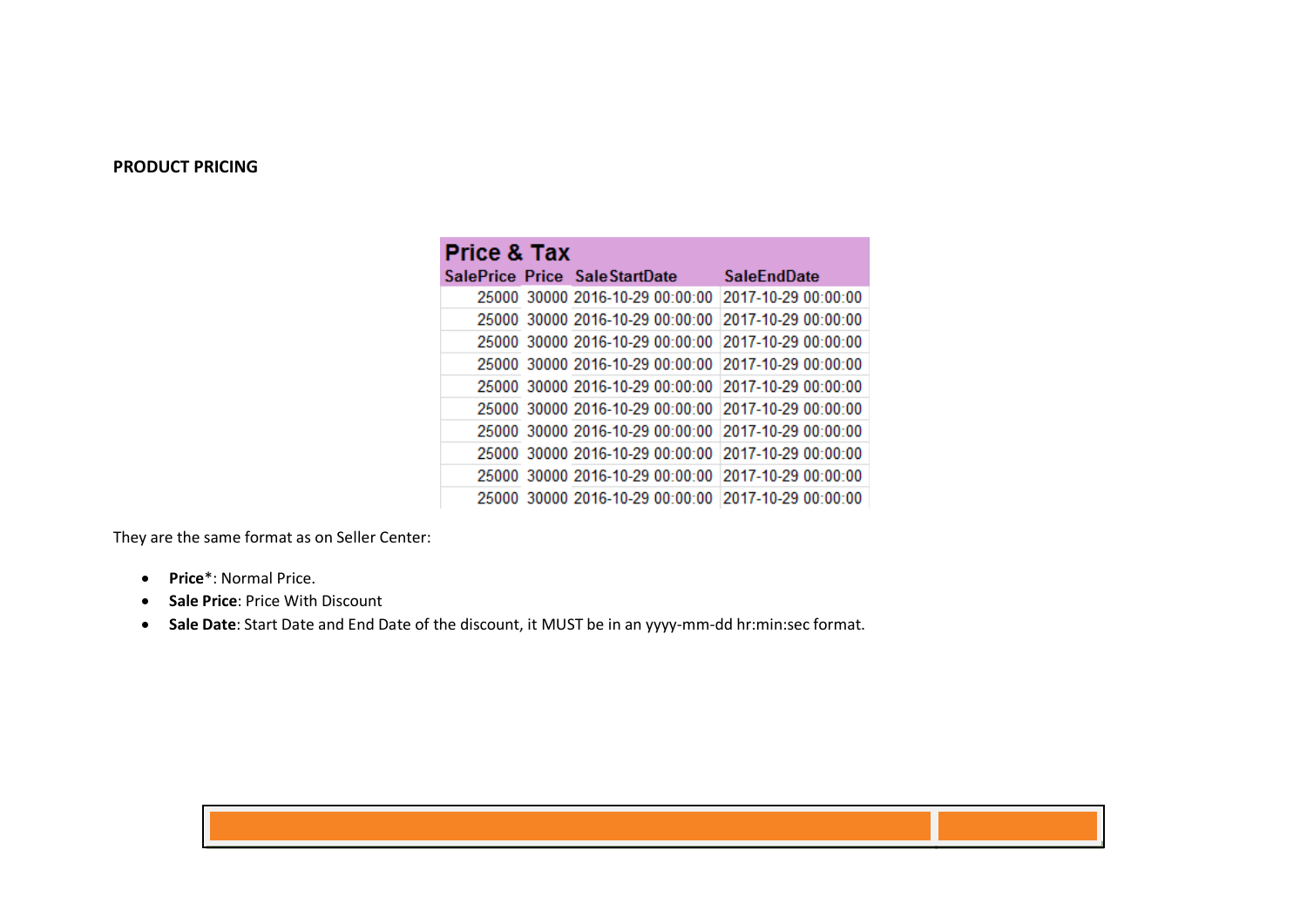#### **PRODUCT PRICING**

| <b>Price &amp; Tax</b> |                                 |                                                     |  |  |  |  |  |  |
|------------------------|---------------------------------|-----------------------------------------------------|--|--|--|--|--|--|
|                        | SalePrice Price SaleStartDate   | <b>SaleEndDate</b>                                  |  |  |  |  |  |  |
|                        | 25000 30000 2016-10-29 00:00:00 | $2017-10-290000000$                                 |  |  |  |  |  |  |
|                        | 25000 30000 2016-10-29 00:00:00 | 2017-10-29 00:00:00                                 |  |  |  |  |  |  |
|                        | 25000 30000 2016-10-29 00:00:00 | 2017-10-29 00:00:00                                 |  |  |  |  |  |  |
|                        |                                 | 25000 30000 2016-10-29 00:00:00 2017-10-29 00:00:00 |  |  |  |  |  |  |
|                        |                                 | 25000 30000 2016-10-29 00:00:00 2017-10-29 00:00:00 |  |  |  |  |  |  |
|                        |                                 | 25000 30000 2016-10-29 00:00:00 2017-10-29 00:00:00 |  |  |  |  |  |  |
|                        | 25000 30000 2016-10-29 00:00:00 | 2017-10-29 00:00:00                                 |  |  |  |  |  |  |
|                        | 25000 30000 2016-10-29 00:00:00 | 2017-10-29 00:00:00                                 |  |  |  |  |  |  |
|                        | 25000 30000 2016-10-29 00:00:00 | 2017-10-29 00:00:00                                 |  |  |  |  |  |  |
|                        |                                 | 25000 30000 2016-10-29 00:00:00 2017-10-29 00:00:00 |  |  |  |  |  |  |

They are the same format as on Seller Center:

- **Price**\*: Normal Price.
- **Sale Price**: Price With Discount
- **Sale Date**: Start Date and End Date of the discount, it MUST be in an yyyy-mm-dd hr:min:sec format.

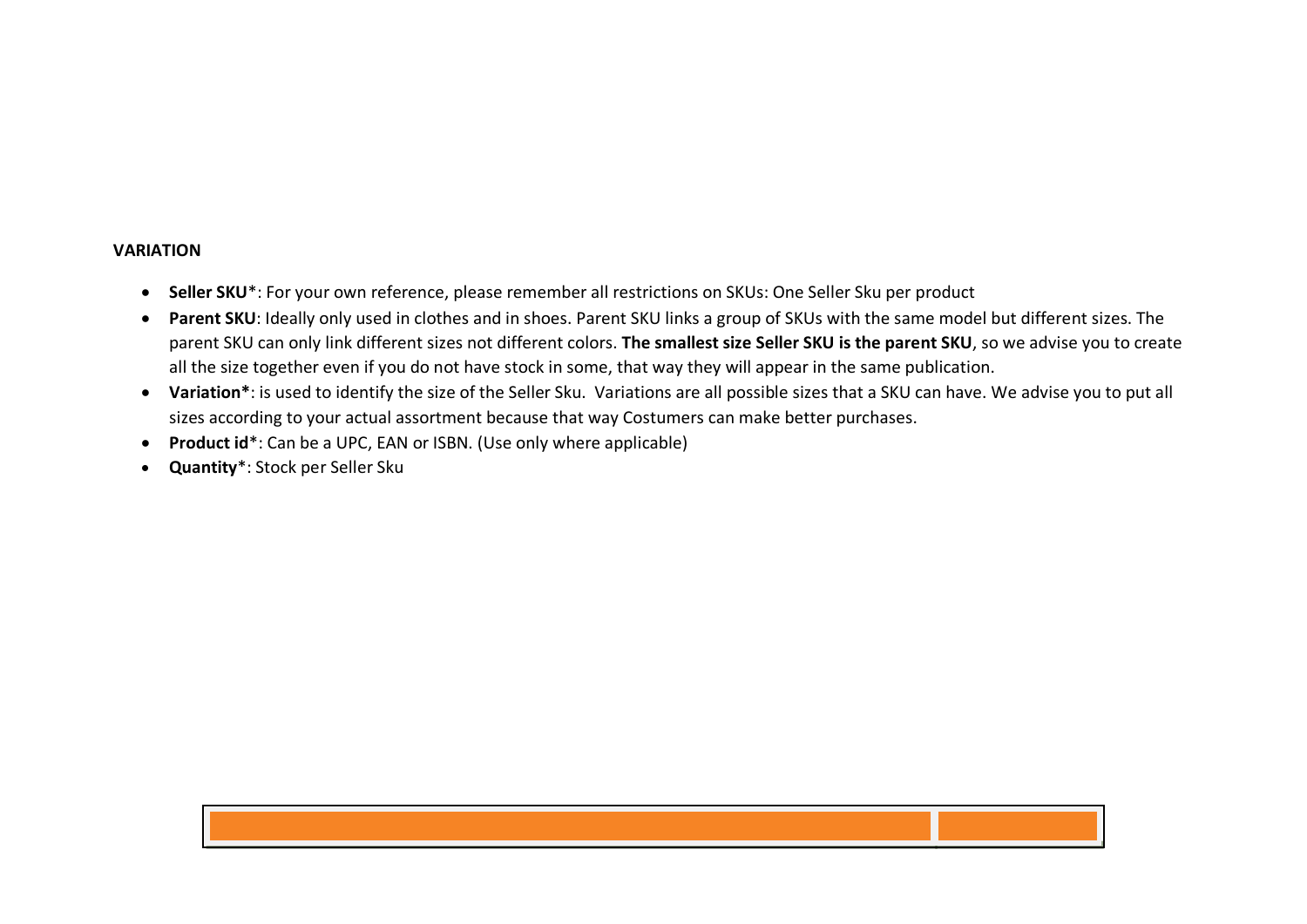#### **VARIATION**

- **Seller SKU**\*: For your own reference, please remember all restrictions on SKUs: One Seller Sku per product
- **Parent SKU**: Ideally only used in clothes and in shoes. Parent SKU links a group of SKUs with the same model but different sizes. The parent SKU can only link different sizes not different colors. **The smallest size Seller SKU is the parent SKU**, so we advise you to create all the size together even if you do not have stock in some, that way they will appear in the same publication.
- **Variation\***: is used to identify the size of the Seller Sku. Variations are all possible sizes that a SKU can have. We advise you to put all sizes according to your actual assortment because that way Costumers can make better purchases.
- **Product id**\*: Can be a UPC, EAN or ISBN. (Use only where applicable)
- **Quantity**\*: Stock per Seller Sku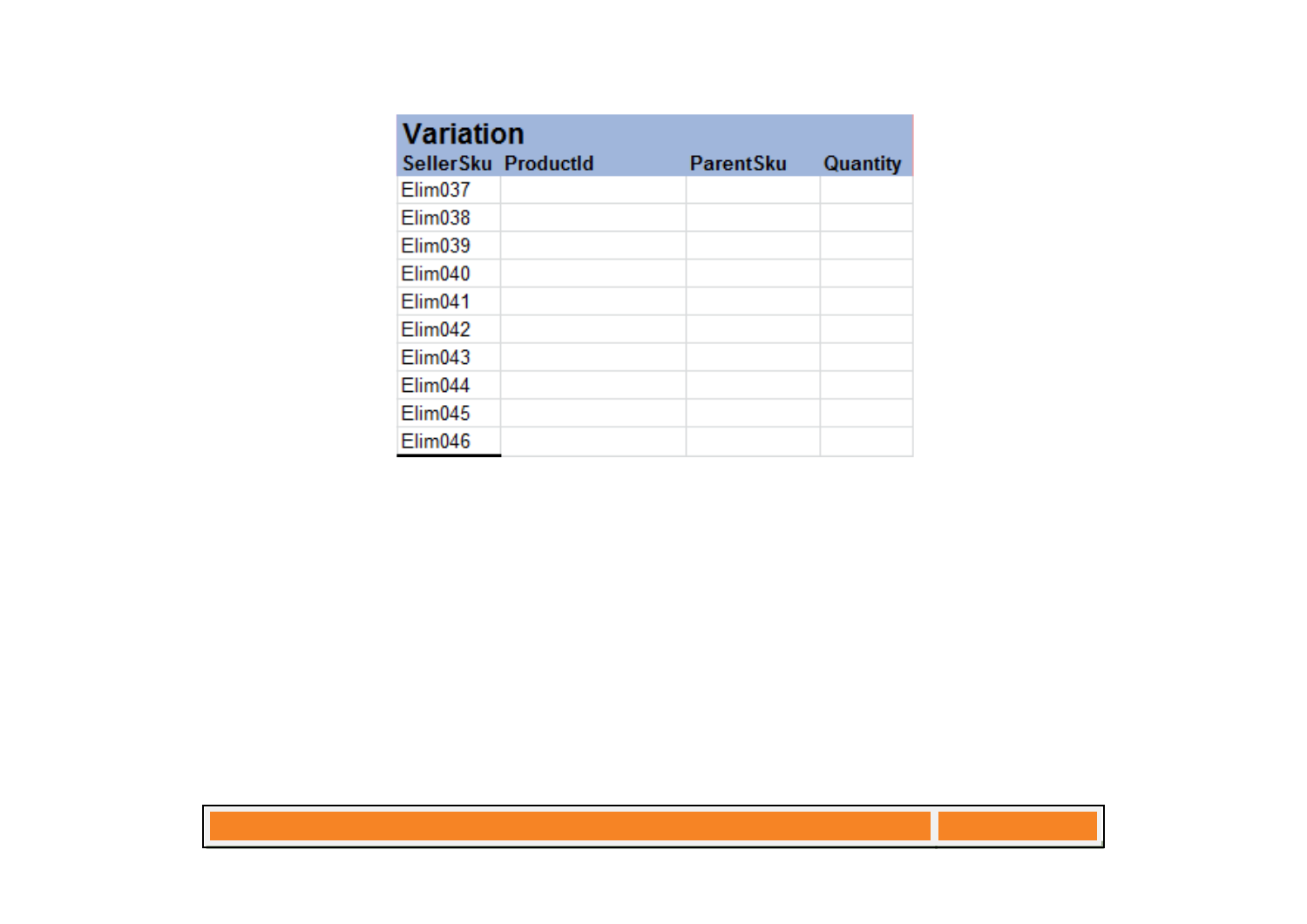| <b>Variation</b>    |  |           |          |  |  |  |  |  |
|---------------------|--|-----------|----------|--|--|--|--|--|
| SellerSku ProductId |  | ParentSku | Quantity |  |  |  |  |  |
| Elim037             |  |           |          |  |  |  |  |  |
| Elim038             |  |           |          |  |  |  |  |  |
| Elim039             |  |           |          |  |  |  |  |  |
| Elim040             |  |           |          |  |  |  |  |  |
| Elim <sub>041</sub> |  |           |          |  |  |  |  |  |
| Elim <sub>042</sub> |  |           |          |  |  |  |  |  |
| Elim <sub>043</sub> |  |           |          |  |  |  |  |  |
| Elim044             |  |           |          |  |  |  |  |  |
| Elim <sub>045</sub> |  |           |          |  |  |  |  |  |
| Elim046             |  |           |          |  |  |  |  |  |

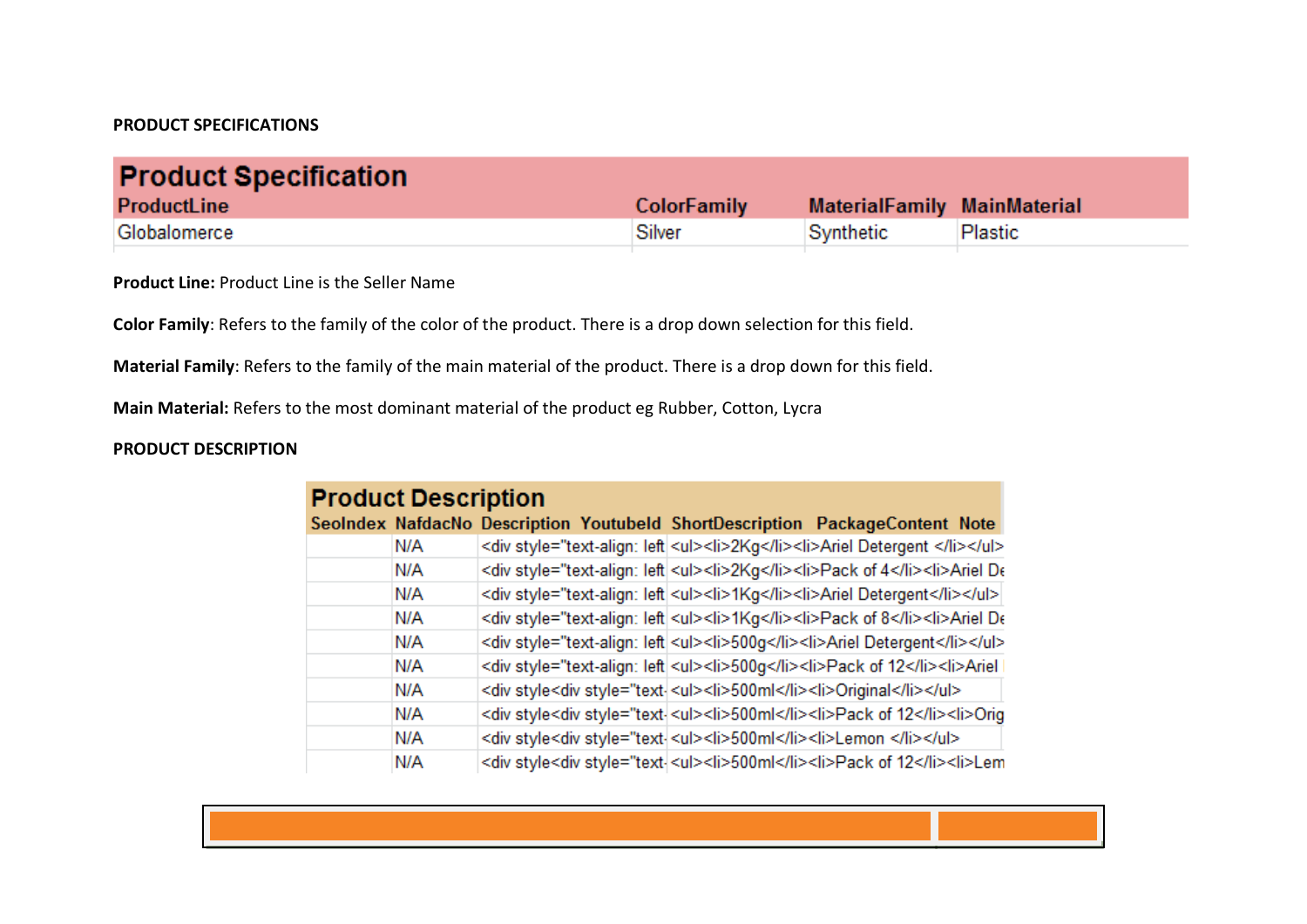## **PRODUCT SPECIFICATIONS**

| <b>Product Specification</b> |                    |                             |         |
|------------------------------|--------------------|-----------------------------|---------|
| <b>ProductLine</b>           | <b>ColorFamily</b> | MaterialFamily MainMaterial |         |
| Globalomerce                 | Silver             | Synthetic                   | Plastic |

**Product Line:** Product Line is the Seller Name

**Color Family**: Refers to the family of the color of the product. There is a drop down selection for this field.

**Material Family**: Refers to the family of the main material of the product. There is a drop down for this field.

**Main Material:** Refers to the most dominant material of the product eg Rubber, Cotton, Lycra

## **PRODUCT DESCRIPTION**

| <b>Product Description</b> |  |                                                                                                                                                                                                                                                                                                                                          |  |
|----------------------------|--|------------------------------------------------------------------------------------------------------------------------------------------------------------------------------------------------------------------------------------------------------------------------------------------------------------------------------------------|--|
|                            |  | SeoIndex NafdacNo Description Youtubeld ShortDescription PackageContent Note                                                                                                                                                                                                                                                             |  |
| N/A                        |  | <div <ul="" left="" style="text-align: left &lt;ul&gt;&lt;li&gt;2Kg&lt;/li&gt;&lt;li&gt;Ariel Detergent &lt;/li&gt;&lt;/ul&gt;&lt;/td&gt;&lt;td&gt;&lt;/td&gt;&lt;/tr&gt;&lt;tr&gt;&lt;td&gt;N/A&lt;/td&gt;&lt;td&gt;&lt;/td&gt;&lt;td&gt;&lt;div style=" text-align:=""><li>2Kg</li><li>Pack of 4</li><li>Ariel De</li></div>           |  |
| N/A                        |  | <div <ul="" left="" style="text-align: left &lt;ul&gt;&lt;li&gt;1Kg&lt;/li&gt;&lt;li&gt;Ariel Detergent&lt;/li&gt;&lt;/ul&gt;&lt;/td&gt;&lt;td&gt;&lt;/td&gt;&lt;/tr&gt;&lt;tr&gt;&lt;td&gt;N/A&lt;/td&gt;&lt;td&gt;&lt;/td&gt;&lt;td&gt;&lt;div style=" text-align:=""><li>1Kg</li><li>Pack of 8</li><li>Ariel De</li></div>            |  |
| N/A                        |  | <div <ul="" left="" style="text-align: left &lt;ul&gt;&lt;li&gt;500g&lt;/li&gt;&lt;li&gt;Ariel Detergent&lt;/li&gt;&lt;/ul&gt;&lt;/td&gt;&lt;td&gt;&lt;/td&gt;&lt;/tr&gt;&lt;tr&gt;&lt;th&gt;N/A&lt;/th&gt;&lt;th&gt;&lt;/th&gt;&lt;th&gt;&lt;div style=" text-align:=""><li>500g</li><li>Pack of 12</li><li>Ariel \<th></th></li></div> |  |
| N/A                        |  | <div <ul="" style="text-&lt;ul&gt;&lt;li&gt;500ml&lt;/li&gt;&lt;li&gt;Original&lt;/li&gt;&lt;/ul&gt;&lt;/th&gt;&lt;th&gt;&lt;/th&gt;&lt;/tr&gt;&lt;tr&gt;&lt;td&gt;N/A&lt;/td&gt;&lt;td&gt;&lt;/td&gt;&lt;td&gt;&lt;div style&lt;div style=" style<div="" text-=""><li>500ml</li><li>Pack of 12</li><li>Orig<td></td></li></div>         |  |
| N/A                        |  | <div <ul="" style="text-&lt;ul&gt;&lt;li&gt;500ml&lt;/li&gt;&lt;li&gt;Lemon &lt;/li&gt;&lt;/ul&gt;&lt;/td&gt;&lt;td&gt;&lt;/td&gt;&lt;/tr&gt;&lt;tr&gt;&lt;td&gt;N/A&lt;/td&gt;&lt;td&gt;&lt;/td&gt;&lt;td&gt;&lt;div style&lt;div style=" style<div="" text-=""><li>500ml</li><li>Pack of 12</li><li>Lem</li></div>                     |  |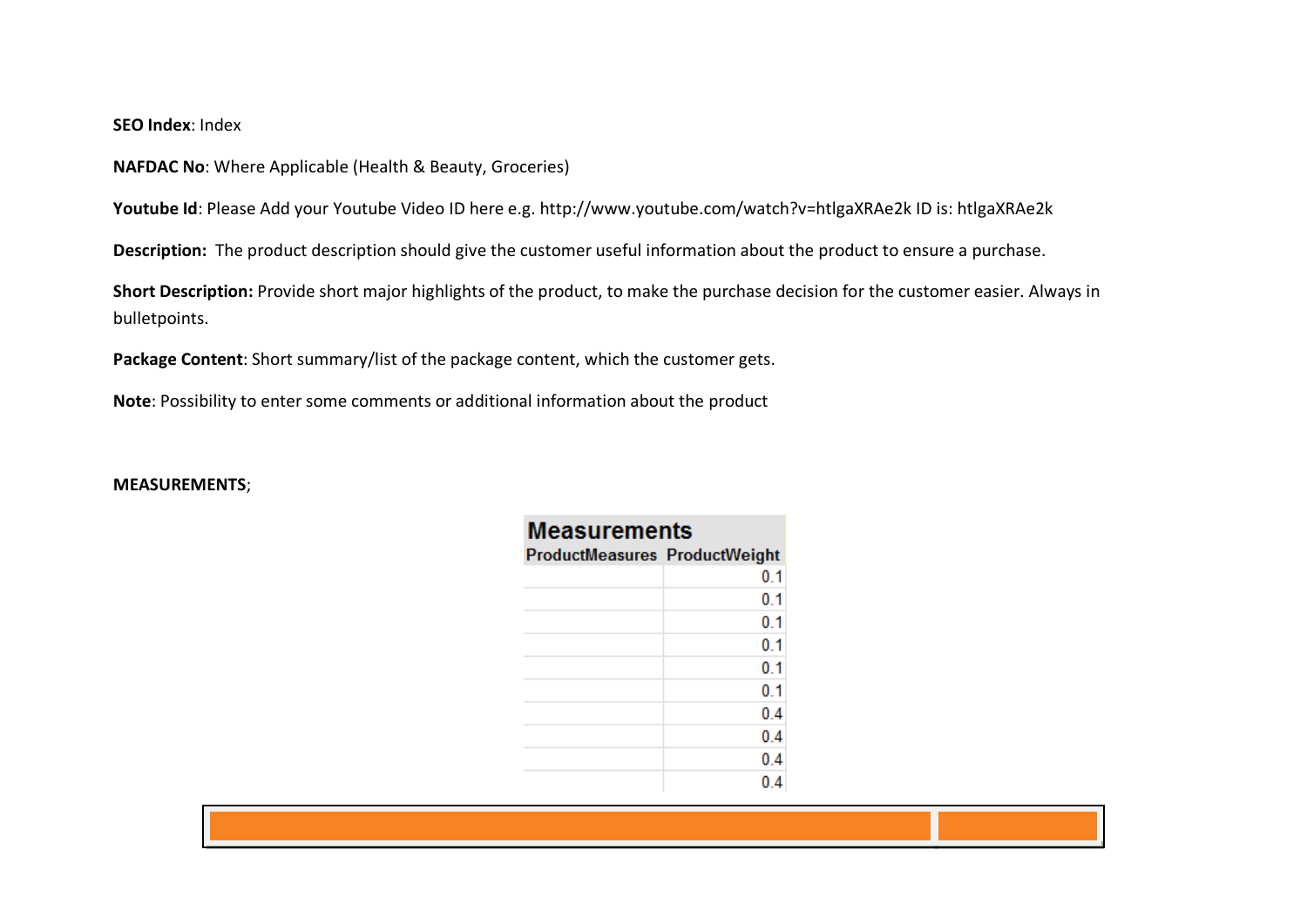## **SEO Index**: Index

**NAFDAC No**: Where Applicable (Health & Beauty, Groceries)

**Youtube Id**: Please Add your Youtube Video ID here e.g. http://www.youtube.com/watch?v=htlgaXRAe2k ID is: htlgaXRAe2k

**Description:** The product description should give the customer useful information about the product to ensure a purchase.

**Short Description:** Provide short major highlights of the product, to make the purchase decision for the customer easier. Always in bulletpoints.

**Package Content**: Short summary/list of the package content, which the customer gets.

**Note**: Possibility to enter some comments or additional information about the product

#### **MEASUREMENTS**;

| <b>Measurements</b>                  |     |
|--------------------------------------|-----|
| <b>ProductMeasures ProductWeight</b> |     |
|                                      | 0.1 |
|                                      | 0.1 |
|                                      | 0.1 |
|                                      | 0.1 |
|                                      | 0.1 |
|                                      | 0.1 |
|                                      | 0.4 |
|                                      | 0.4 |
|                                      | 0.4 |
|                                      |     |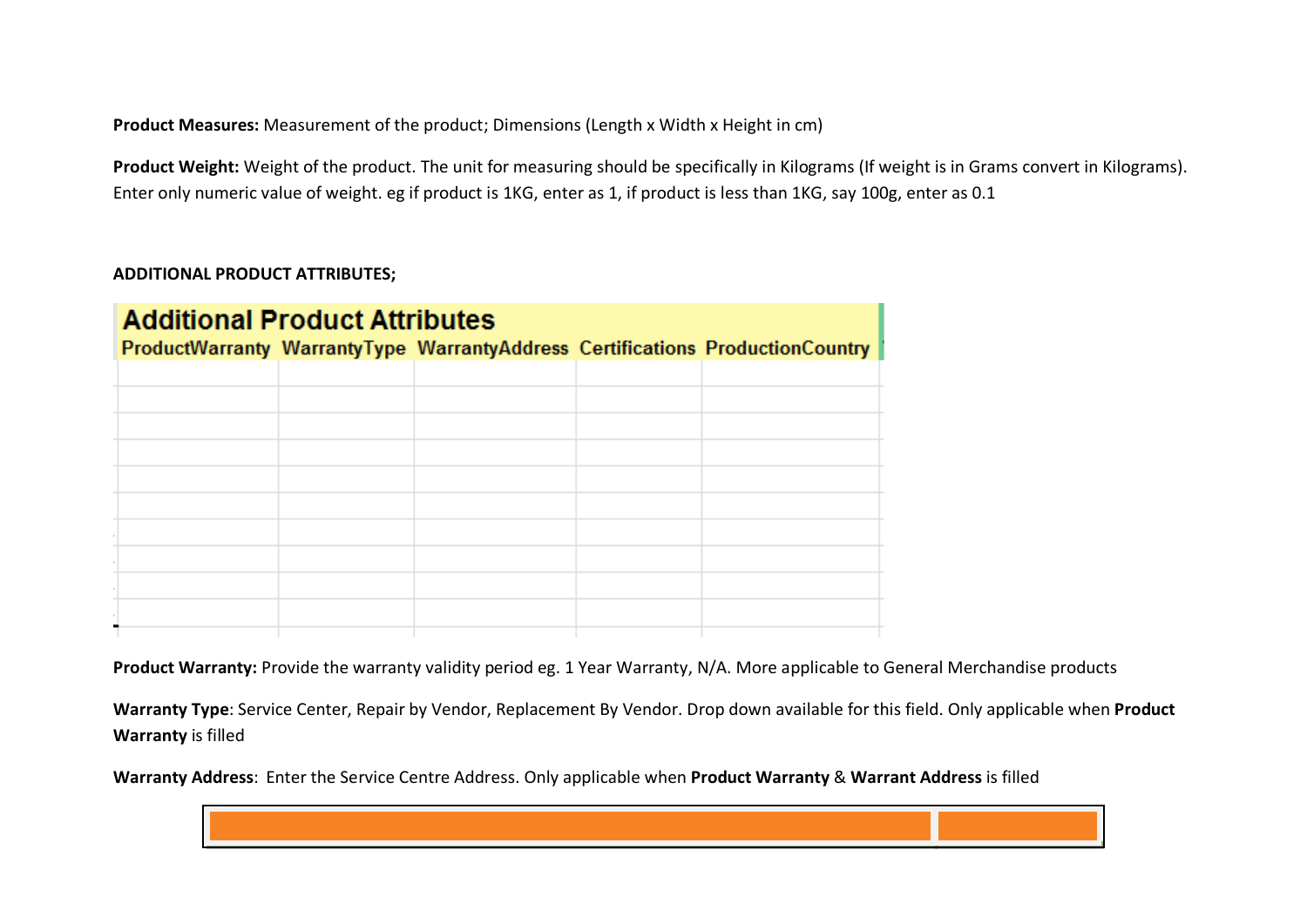**Product Measures:** Measurement of the product; Dimensions (Length x Width x Height in cm)

**Product Weight:** Weight of the product. The unit for measuring should be specifically in Kilograms (If weight is in Grams convert in Kilograms). Enter only numeric value of weight. eg if product is 1KG, enter as 1, if product is less than 1KG, say 100g, enter as 0.1

## **ADDITIONAL PRODUCT ATTRIBUTES;**

| <b>Additional Product Attributes</b> |  | ProductWarranty WarrantyType WarrantyAddress Certifications ProductionCountry |  |
|--------------------------------------|--|-------------------------------------------------------------------------------|--|
|                                      |  |                                                                               |  |
|                                      |  |                                                                               |  |
|                                      |  |                                                                               |  |
|                                      |  |                                                                               |  |
|                                      |  |                                                                               |  |
|                                      |  |                                                                               |  |
|                                      |  |                                                                               |  |
|                                      |  |                                                                               |  |
|                                      |  |                                                                               |  |
|                                      |  |                                                                               |  |
|                                      |  |                                                                               |  |
|                                      |  |                                                                               |  |

**Product Warranty:** Provide the warranty validity period eg. 1 Year Warranty, N/A. More applicable to General Merchandise products

**Warranty Type**: Service Center, Repair by Vendor, Replacement By Vendor. Drop down available for this field. Only applicable when **Product Warranty** is filled

**Warranty Address**: Enter the Service Centre Address. Only applicable when **Product Warranty** & **Warrant Address** is filled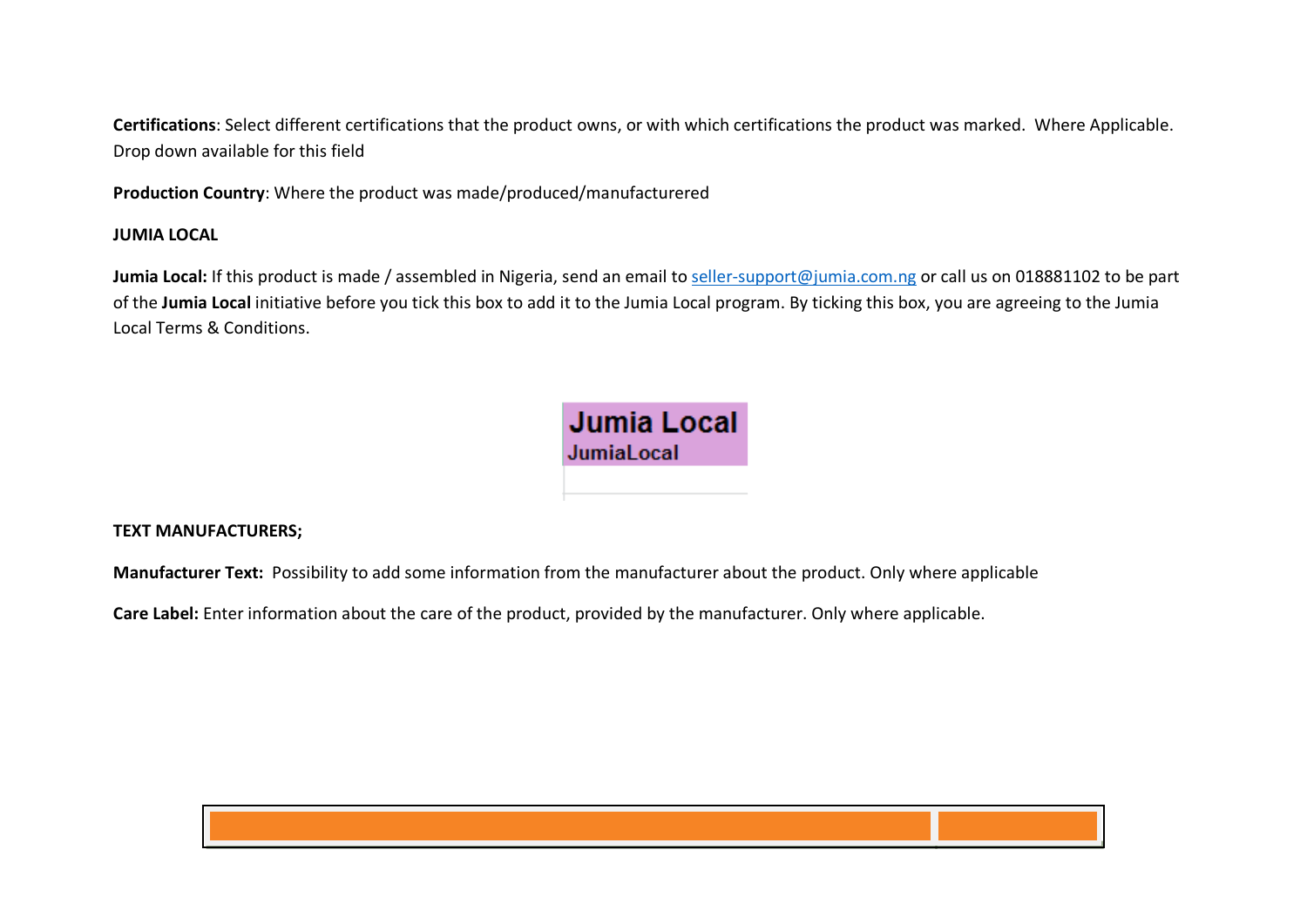**Certifications**: Select different certifications that the product owns, or with which certifications the product was marked. Where Applicable. Drop down available for this field

**Production Country**: Where the product was made/produced/manufacturered

#### **JUMIA LOCAL**

Jumia Local: If this product is made / assembled in Nigeria, send an email to seller-support@jumia.com.ng or call us on 018881102 to be part of the **Jumia Local** initiative before you tick this box to add it to the Jumia Local program. By ticking this box, you are agreeing to the Jumia Local Terms & Conditions.

# **Jumia Local JumiaLocal**

#### **TEXT MANUFACTURERS;**

**Manufacturer Text:** Possibility to add some information from the manufacturer about the product. Only where applicable

**Care Label:** Enter information about the care of the product, provided by the manufacturer. Only where applicable.

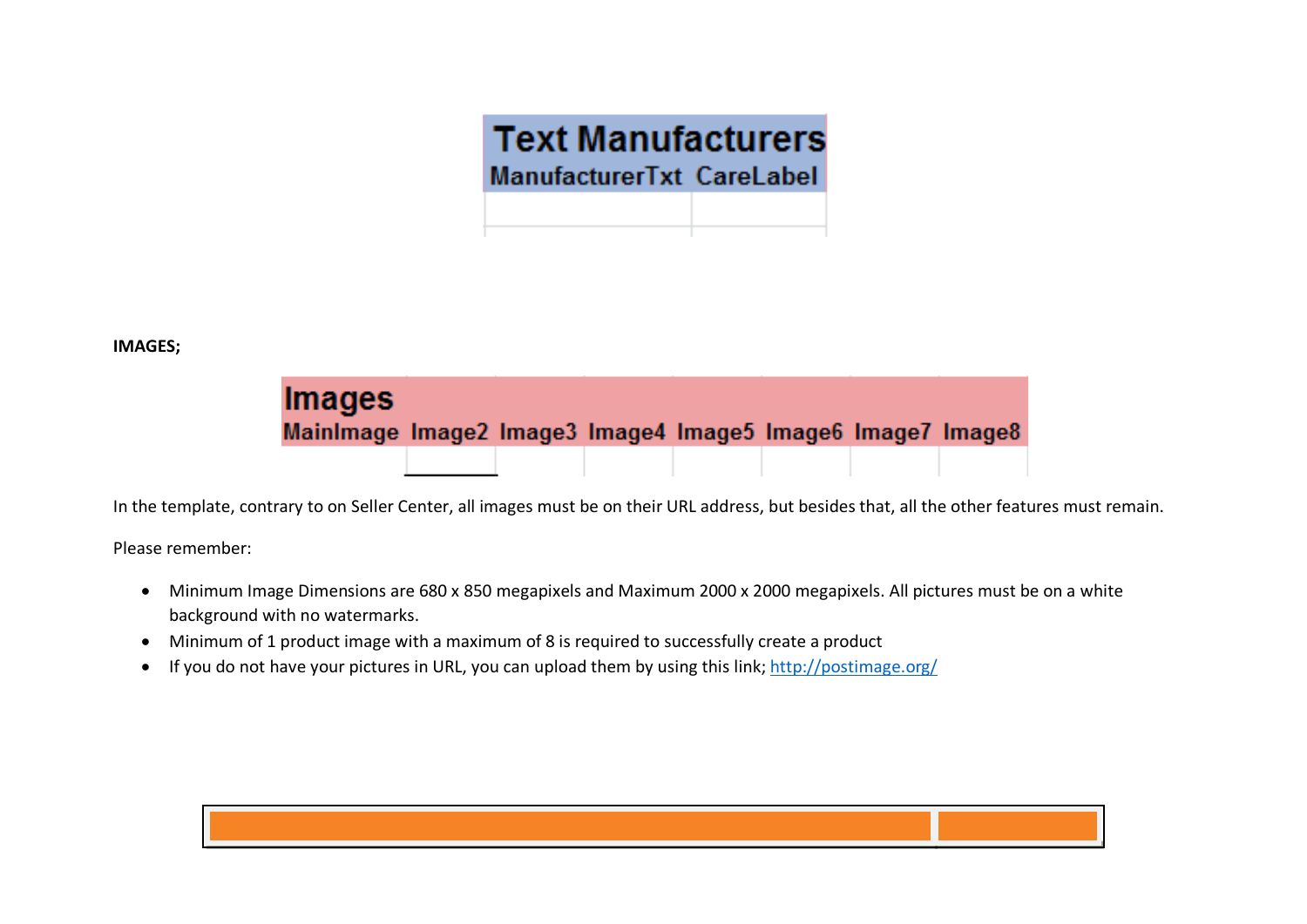

#### **IMAGES;**



In the template, contrary to on Seller Center, all images must be on their URL address, but besides that, all the other features must remain.

Please remember:

- Minimum Image Dimensions are 680 x 850 megapixels and Maximum 2000 x 2000 megapixels. All pictures must be on a white background with no watermarks.
- Minimum of 1 product image with a maximum of 8 is required to successfully create a product
- If you do not have your pictures in URL, you can upload them by using this link; http://postimage.org/

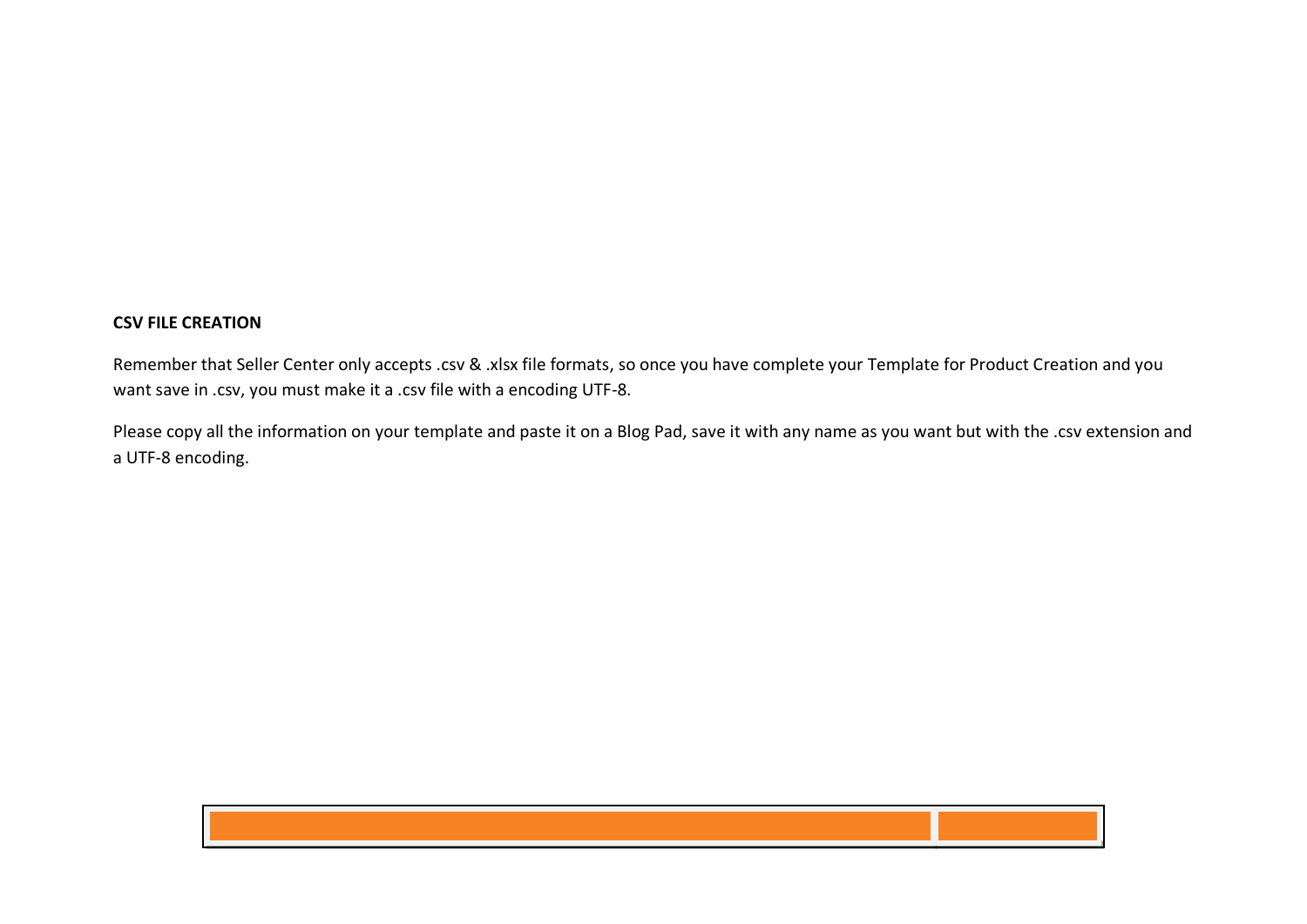#### **CSV FILE CREATION**

Remember that Seller Center only accepts .csv & .xlsx file formats, so once you have complete your Template for Product Creation and you want save in .csv, you must make it a .csv file with a encoding UTF-8.

Please copy all the information on your template and paste it on a Blog Pad, save it with any name as you want but with the .csv extension and a UTF-8 encoding.

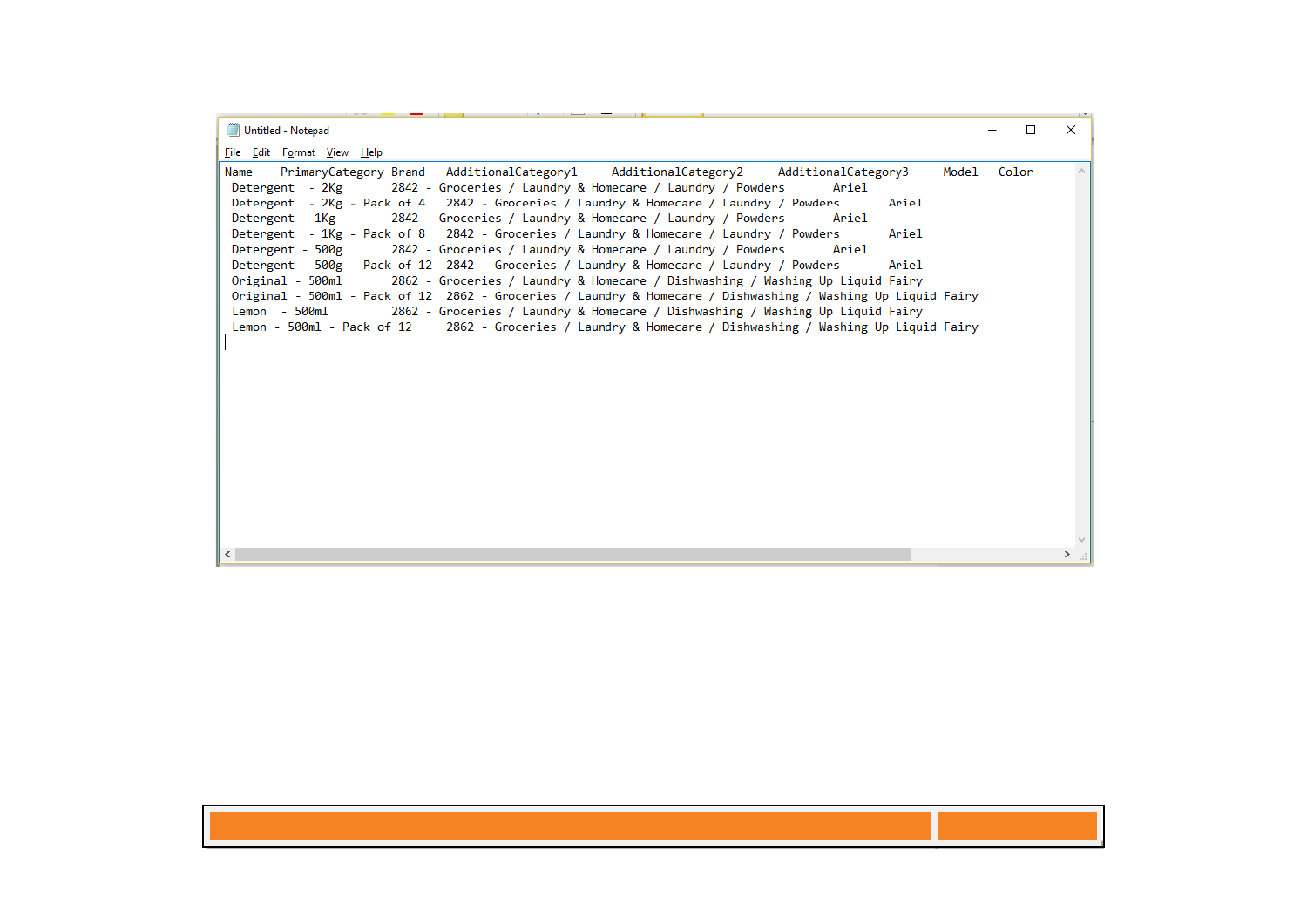| Untitled - Notepad                                                                                                                                                                                                                                                                                                                                                                                                                                                                                                                                                                                                                                                                                                                                                                                                                                                                                                                                                                                                                                                                                           |       |       | $\times$      |
|--------------------------------------------------------------------------------------------------------------------------------------------------------------------------------------------------------------------------------------------------------------------------------------------------------------------------------------------------------------------------------------------------------------------------------------------------------------------------------------------------------------------------------------------------------------------------------------------------------------------------------------------------------------------------------------------------------------------------------------------------------------------------------------------------------------------------------------------------------------------------------------------------------------------------------------------------------------------------------------------------------------------------------------------------------------------------------------------------------------|-------|-------|---------------|
| File Edit Format View Help                                                                                                                                                                                                                                                                                                                                                                                                                                                                                                                                                                                                                                                                                                                                                                                                                                                                                                                                                                                                                                                                                   |       |       |               |
| PrimaryCategory Brand AdditionalCategory1<br>Name<br>AdditionalCategory2<br>AdditionalCategory3<br>Detergent - 2Kg 2842 - Groceries / Laundry & Homecare / Laundry / Powders<br>Ariel<br>Detergent - 2Kg - Pack of 4 2842 - Groceries / Laundry & Homecare / Laundry / Powders<br>Ariel<br>Detergent - 1Kg 2842 - Groceries / Laundry & Homecare / Laundry / Powders<br>Ariel<br>Detergent - 1Kg - Pack of 8 2842 - Groceries / Laundry & Homecare / Laundry / Powders<br>Ariel<br>Detergent - 500g 2842 - Groceries / Laundry & Homecare / Laundry / Powders<br>Ariel<br>Detergent - 500g - Pack of 12 2842 - Groceries / Laundry & Homecare / Laundry / Powders<br>Ariel<br>Original - 500ml<br>2862 - Groceries / Laundry & Homecare / Dishwashing / Washing Up Liquid Fairy<br>Original - 500ml - Pack of 12 2862 - Groceries / Laundry & Homecare / Dishwashing / Washing Up Liquid Fairy<br>2862 - Groceries / Laundry & Homecare / Dishwashing / Washing Up Liquid Fairy<br>Lemon - 500ml<br>Lemon - 500ml - Pack of 12 2862 - Groceries / Laundry & Homecare / Dishwashing / Washing Up Liquid Fairy | Model | Color |               |
| $\overline{\phantom{a}}$                                                                                                                                                                                                                                                                                                                                                                                                                                                                                                                                                                                                                                                                                                                                                                                                                                                                                                                                                                                                                                                                                     |       |       | $\rightarrow$ |

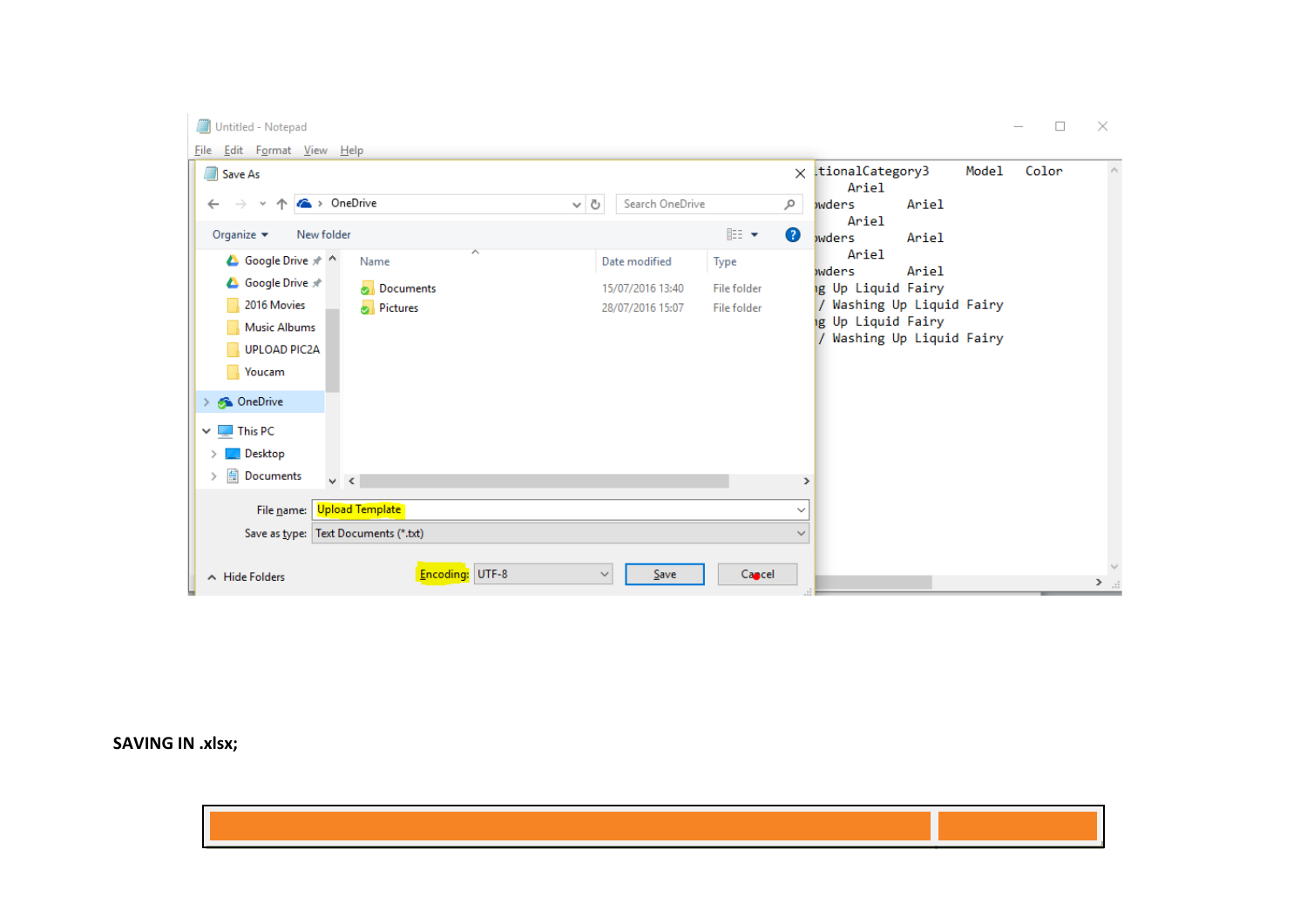| Untitled - Notepad                                                                                                                                                                                                           |                                                       |                                    |                              |                                                                                                                              |       | □     | $\times$                              |
|------------------------------------------------------------------------------------------------------------------------------------------------------------------------------------------------------------------------------|-------------------------------------------------------|------------------------------------|------------------------------|------------------------------------------------------------------------------------------------------------------------------|-------|-------|---------------------------------------|
| Edit Format View Help<br><b>File</b>                                                                                                                                                                                         |                                                       |                                    |                              |                                                                                                                              |       |       |                                       |
| Save As                                                                                                                                                                                                                      |                                                       |                                    |                              | $\times$ tionalCategory3<br>Ariel                                                                                            | Model | Color | $\mathcal{O}_1$                       |
| <b>Conceptive</b><br>$\leftarrow$<br>$\checkmark$                                                                                                                                                                            | $\sim$ 0<br>Search OneDrive                           |                                    | مر                           | Ariel<br>wders<br>Ariel                                                                                                      |       |       |                                       |
| New folder<br>Organize $\blacktriangledown$                                                                                                                                                                                  |                                                       | 距 ▼                                | ◉                            | wders<br>Ariel                                                                                                               |       |       |                                       |
| ́<br>△ Google Drive ォ ヘ<br>Name<br>▲ Google Drive 术<br><b>Documents</b><br>2016 Movies<br><b>D</b> Pictures<br><b>Music Albums</b><br><b>UPLOAD PIC2A</b><br>Youcam<br><b>S</b> OneDrive<br>$\vee$ $\Box$ This PC<br>Desktop | Date modified<br>15/07/2016 13:40<br>28/07/2016 15:07 | Type<br>File folder<br>File folder |                              | Ariel<br>Ariel<br>wders<br>ig Up Liquid Fairy<br>/ Washing Up Liquid Fairy<br>g Up Liquid Fairy<br>/ Washing Up Liquid Fairy |       |       |                                       |
| 霊<br>Documents<br>$\rightarrow$<br>$\vee$ <                                                                                                                                                                                  |                                                       |                                    | $\rightarrow$                |                                                                                                                              |       |       |                                       |
| Upload Template<br>File name:<br>Save as type: Text Documents (*.txt)<br>Encoding: UTF-8<br>$\land$ Hide Folders                                                                                                             | Save<br>$\checkmark$                                  | Cancel                             | $\checkmark$<br>$\checkmark$ |                                                                                                                              |       |       | $\sum_{i\in\mathcal{I}}\mathcal{L}_i$ |

## **SAVING IN .xlsx;**

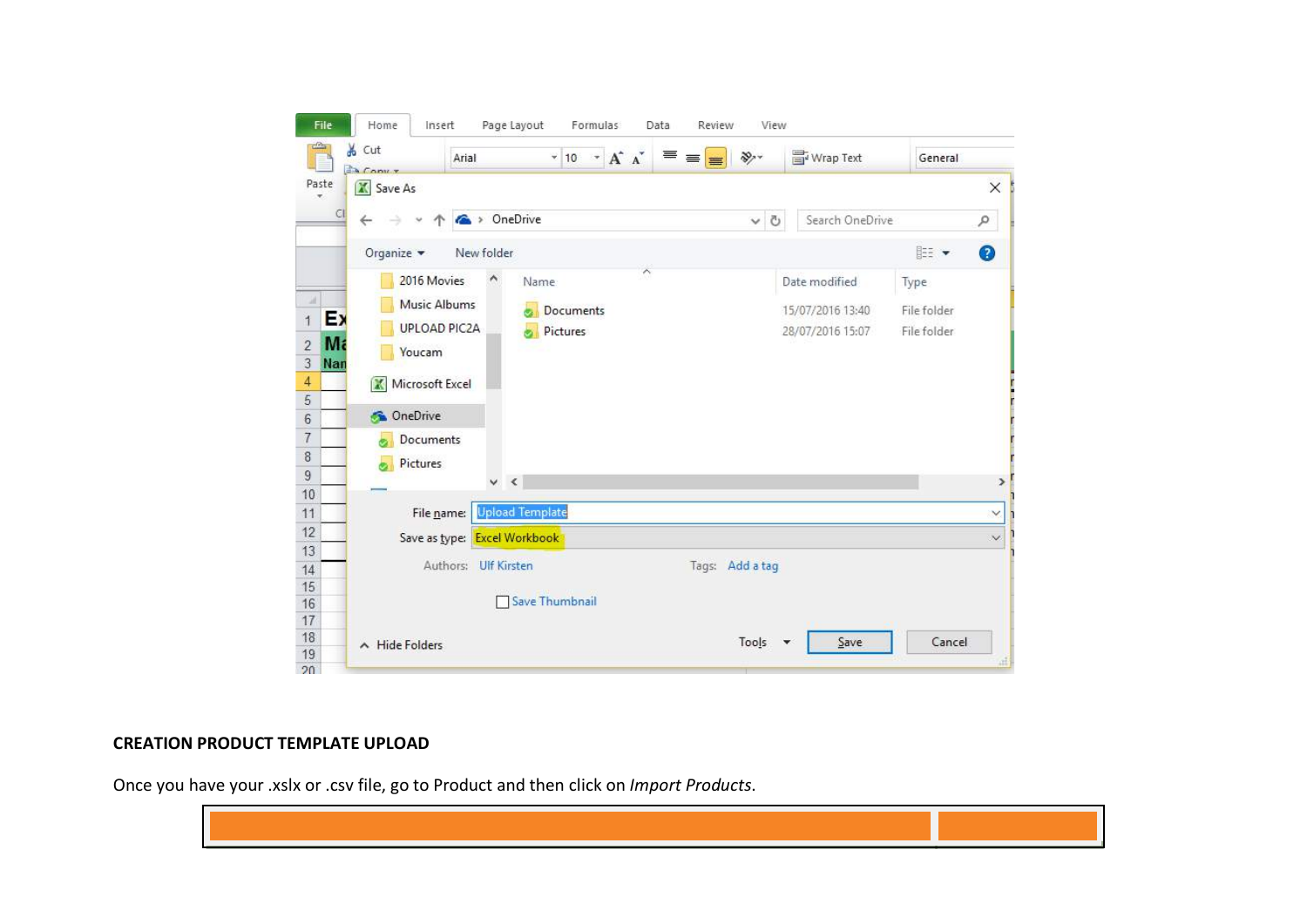

#### **CREATION PRODUCT TEMPLATE UPLOAD**

Once you have your .xslx or .csv file, go to Product and then click on *Import Products*.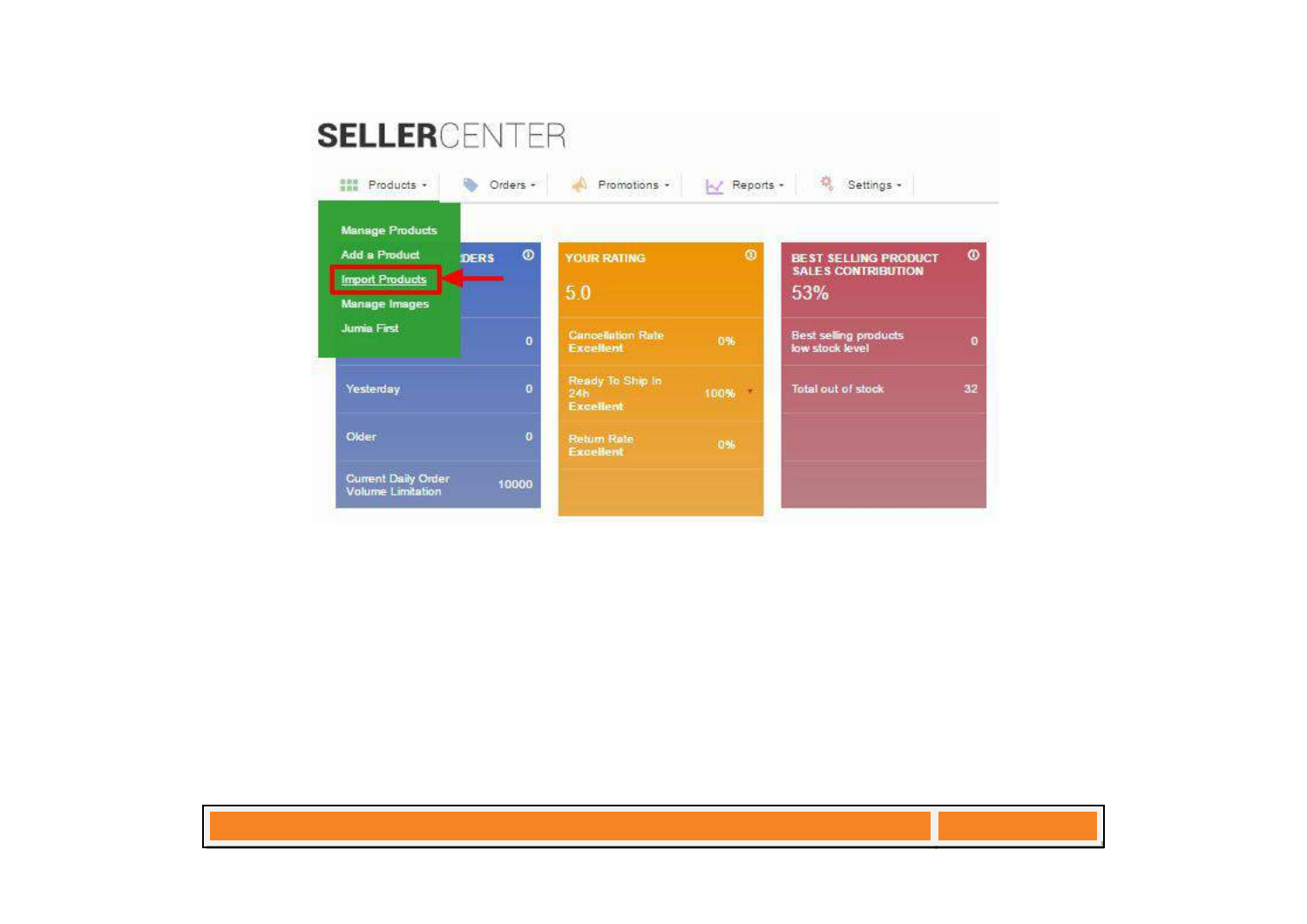| <b>FRA</b> Products -                                  |             | Orders - | Promotions -                                 | <b>N</b> Reports - | Settings +                                         |        |
|--------------------------------------------------------|-------------|----------|----------------------------------------------|--------------------|----------------------------------------------------|--------|
| <b>Manage Products</b>                                 |             |          |                                              |                    |                                                    |        |
| <b>Add a Product</b>                                   | <b>DERS</b> | $\circ$  | <b>YOUR RATING</b>                           | $\circ$            | BE ST SELLING PRODUCT<br><b>SALES CONTRIBUTION</b> | $\Phi$ |
| <b>Import Products</b>                                 |             |          | 5.0                                          |                    | 53%                                                |        |
| <b>Manage Images</b><br><b>Jumis First</b>             |             |          |                                              |                    |                                                    |        |
|                                                        |             | o        | <b>Cancellation Rate</b><br><b>Excellent</b> | 0%                 | <b>Best selling products</b><br>low stock level    | o      |
| Yesterday                                              |             | Ő        | Ready To Ship In<br>24h<br><b>Excellent</b>  | 100%               | Total out of stock                                 | 32     |
| Okier                                                  |             | o        | <b>Return Rate</b><br><b>Excellent</b>       | 0%                 |                                                    |        |
| <b>Current Daily Order</b><br><b>Volume Limitation</b> |             | 10000    |                                              |                    |                                                    |        |

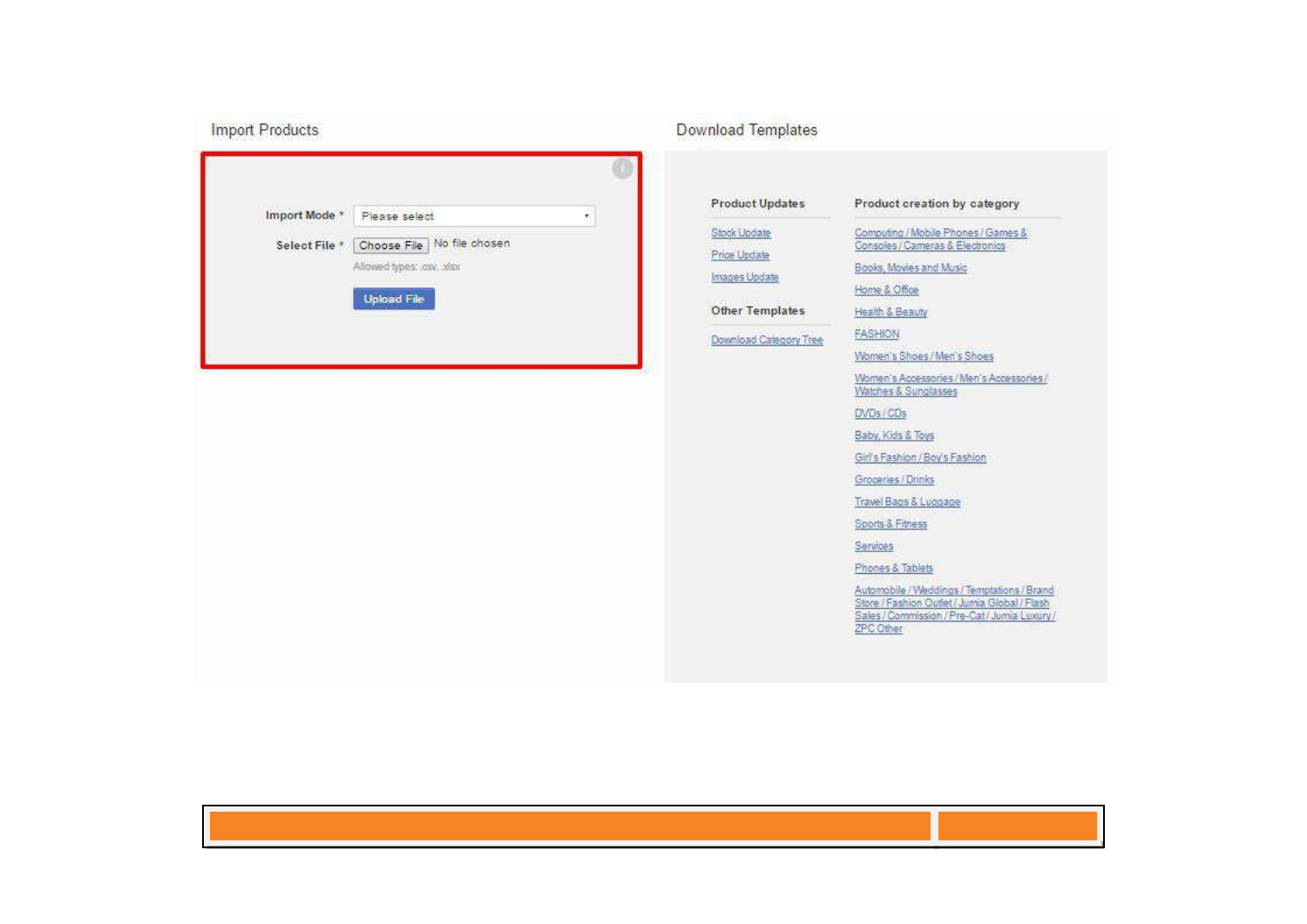| Import Mode * | Please select                                    | Ŷ, |
|---------------|--------------------------------------------------|----|
|               | Select File * Choose File   No file chosen       |    |
|               | Allowed types: .csv, .xlsx<br><b>Upload File</b> |    |
|               |                                                  |    |

### Download Templates

Stock Update Price Update

Images Update

**Product Updates** 

#### Product creation by category

Computing / Mobile Phones / Games &<br>Consoles / Cameras & Electronics

Books, Movies and Music

Home & Office

Other Templates Health & Beauty

Download Category Tree

Women's Shoes / Men's Shoes

Women's Accessories / Men's Accessories / Watches & Sunglasses

 $DVDs/CDs$ 

**FASHION** 

Baby, Kids & Toys

Girl's Fashion / Boy's Fashion

Groceries / Drinks

Travel Bags & Luggage

Sports & Fitness

Services

Phones & Tablets

Automobile / Weddings / Temptations / Brand<br>Store / Fashion Outlet / Junnia Global / Flash Sales / Commission / Pre-Cat / Jumia Luxury / ZPC Other

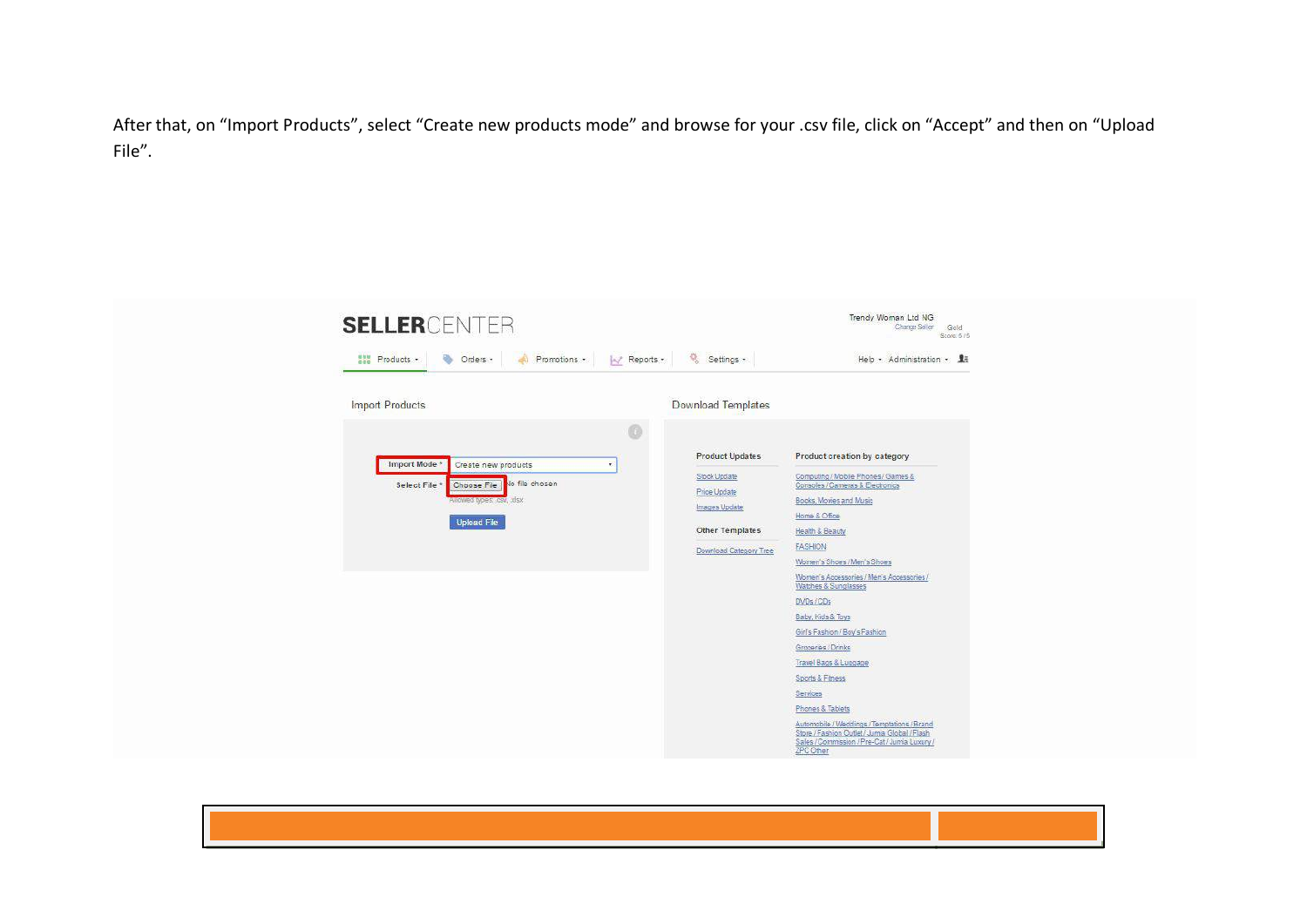After that, on "Import Products", select "Create new products mode" and browse for your .csv file, click on "Accept" and then on "Upload File".

| SELLERCENTER                              |                                                                                                        |           |                                                                                                                             | Trendy Woman Ltd NG<br>Change Seller<br>Score: 5/5                                                                                                                                                                                                                                                                                                                                                                                                                                                                                                                                                                                |
|-------------------------------------------|--------------------------------------------------------------------------------------------------------|-----------|-----------------------------------------------------------------------------------------------------------------------------|-----------------------------------------------------------------------------------------------------------------------------------------------------------------------------------------------------------------------------------------------------------------------------------------------------------------------------------------------------------------------------------------------------------------------------------------------------------------------------------------------------------------------------------------------------------------------------------------------------------------------------------|
| <b>EDE</b> Products -                     | Promotions -<br>Orders -                                                                               | Reports - | Settings +                                                                                                                  | Help - Administration - 1H                                                                                                                                                                                                                                                                                                                                                                                                                                                                                                                                                                                                        |
| <b>Import Products</b>                    |                                                                                                        |           | Download Templates                                                                                                          |                                                                                                                                                                                                                                                                                                                                                                                                                                                                                                                                                                                                                                   |
| Import Mode <sup>*</sup><br>Select File * | Create new products<br>No file chosen<br>Choose File<br>Allowed types: csv, xlsx<br><b>Upload File</b> | ۷         | <b>Product Updates</b><br>Stock Update<br>Price Update<br>Images Update<br><b>Other Templates</b><br>Download Category Tree | Product creation by category<br>Computing / Mobile Phones / Games &<br>Consoles / Cameras & Electronics<br>Books, Movies and Music<br>Home & Office<br>Health & Beauty<br><b>FASHION</b><br>Women's Shoes / Men's Shoes<br>Women's Accessories / Men's Accessories /<br>Watches & Sunglasses<br>DVDs / CDs<br>Baby, Kids & Toys<br>Girl's Fashion / Boy's Fashion<br>Groceries / Drinks<br>Travel Bags & Luggage<br>Sports & Fitness<br>Services<br>Phones & Tablets<br>Automobile / Weddings / Temptations / Brand<br>Store / Fashion Outlet/ Jumia Global / Flash<br>Sales / Commission / Pre-Cat / Jumia Luxury /<br>ZPC Other |

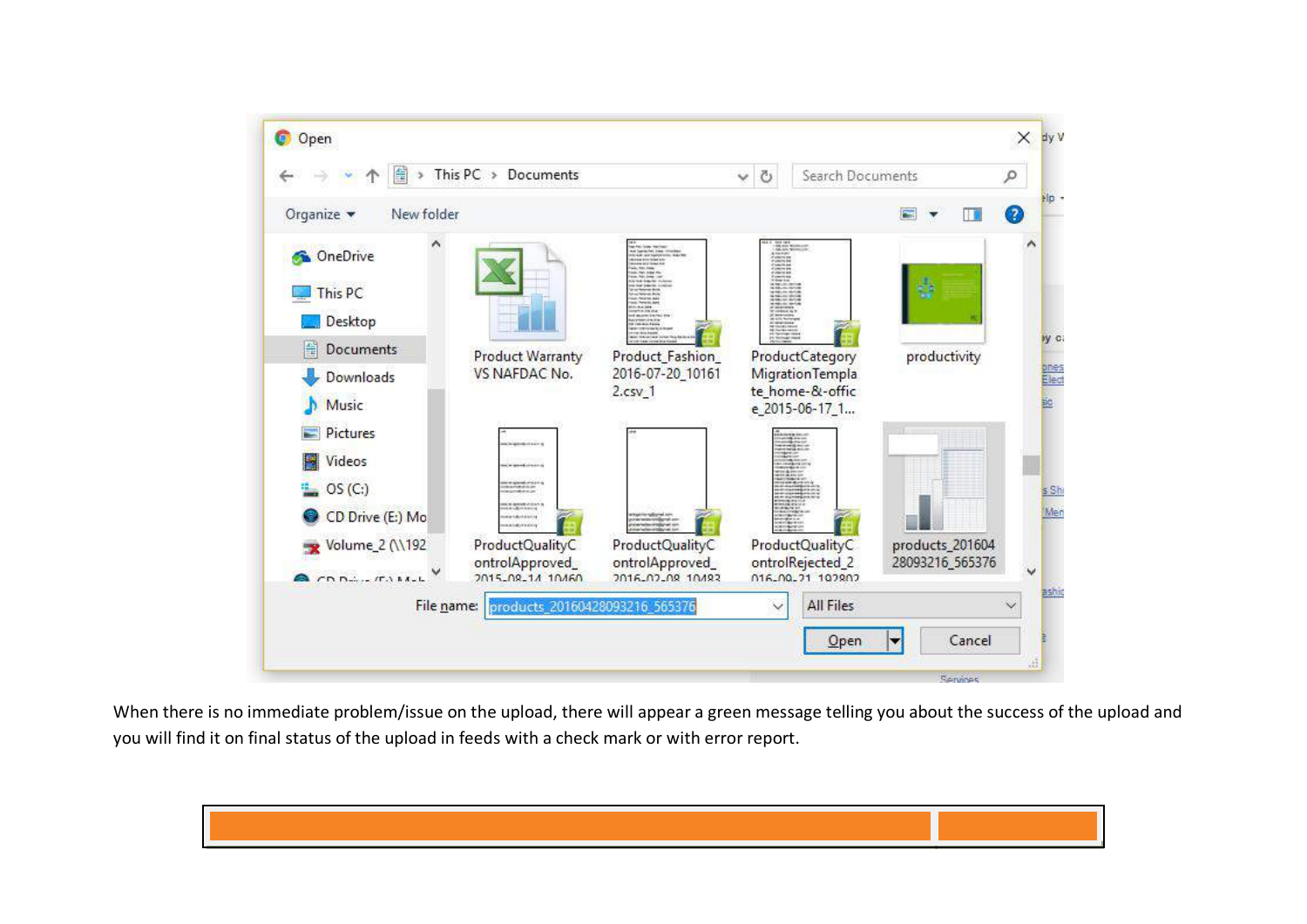

When there is no immediate problem/issue on the upload, there will appear a green message telling you about the success of the upload and you will find it on final status of the upload in feeds with a check mark or with error report.

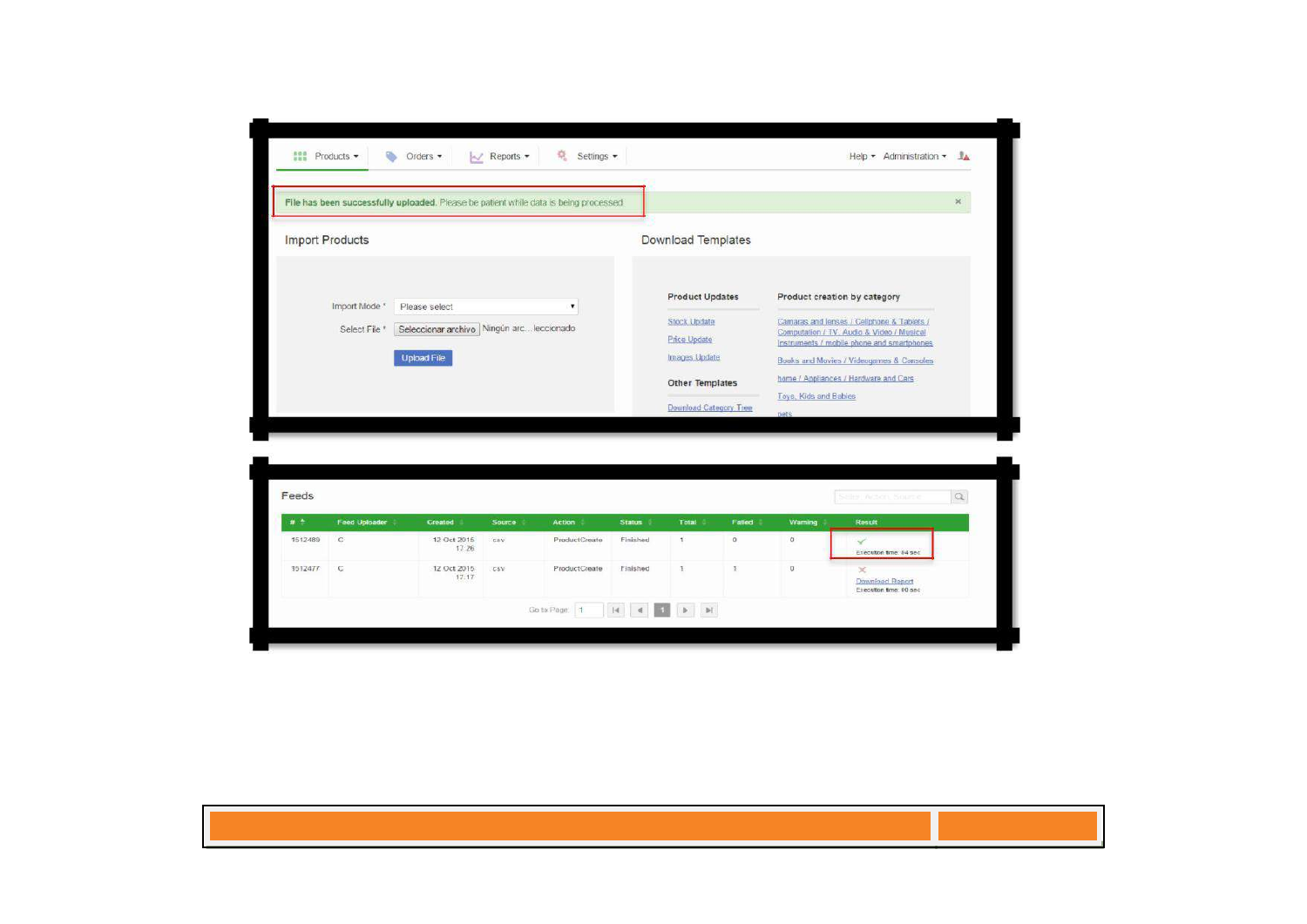| 222<br>Products -      | 堯<br>Orders -<br>Reports -                                                            | Settings - |                                                             | Help - Administration -                                                                                                               | $\mathbb{Z}$ A |
|------------------------|---------------------------------------------------------------------------------------|------------|-------------------------------------------------------------|---------------------------------------------------------------------------------------------------------------------------------------|----------------|
|                        | File has been successfully uploaded. Please be patient while data is being processed. |            |                                                             |                                                                                                                                       | $\times$       |
| <b>Import Products</b> |                                                                                       |            | <b>Download Templates</b>                                   |                                                                                                                                       |                |
| Import Mode *          | Please select                                                                         | ۰          | <b>Product Updates</b>                                      | Product creation by category                                                                                                          |                |
| Select File *          | Seleccionar archivo   Ningún arc  leccionado<br><b>Upload File</b>                    |            | <b>Stock Update</b><br>Price Update<br><b>Images Update</b> | Camaras and lenses / Cellphone & Tablets /<br>Computation / TV. Audio & Video / Musical<br>Instruments / mobile phone and smartphones |                |
|                        |                                                                                       |            | Other Templates                                             | Books and Movies / Videogames & Consoles<br>home / Appliances / Hardware and Cars<br>Toys, Kids and Babies                            |                |
|                        |                                                                                       |            |                                                             |                                                                                                                                       |                |

| #A      | <b>Feed Uploader</b> | Created              | <b>Source</b> | Action        | <b>Status</b> | Total | Failed   | Warning  | Result                                                    |
|---------|----------------------|----------------------|---------------|---------------|---------------|-------|----------|----------|-----------------------------------------------------------|
| 1512489 | $\overline{c}$       | 12 Oct 2015<br>17.26 | <b>CSV</b>    | ProductCreate | Finished      | ł.    | $\alpha$ | $\alpha$ | Execution fime: 84 sec                                    |
| 1512477 | C                    | 12 Oct 2015<br>17.17 | CSV           | ProductCreate | Finished      | Ť.    |          | $\alpha$ | $\!\times\!$<br>Download Report<br>Execution time: 00 sec |

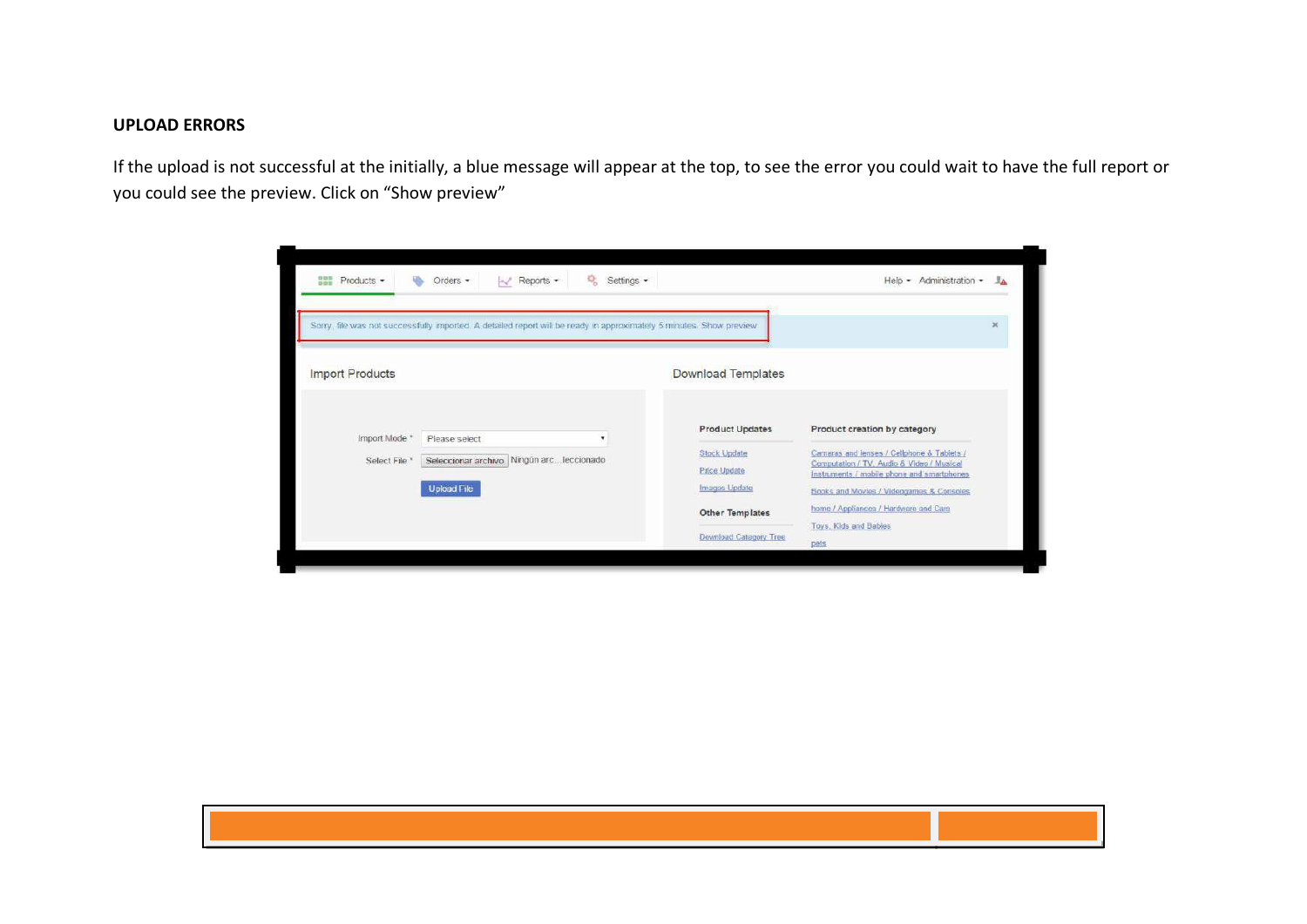#### **UPLOAD ERRORS**

If the upload is not successful at the initially, a blue message will appear at the top, to see the error you could wait to have the full report or you could see the preview. Click on "Show preview"



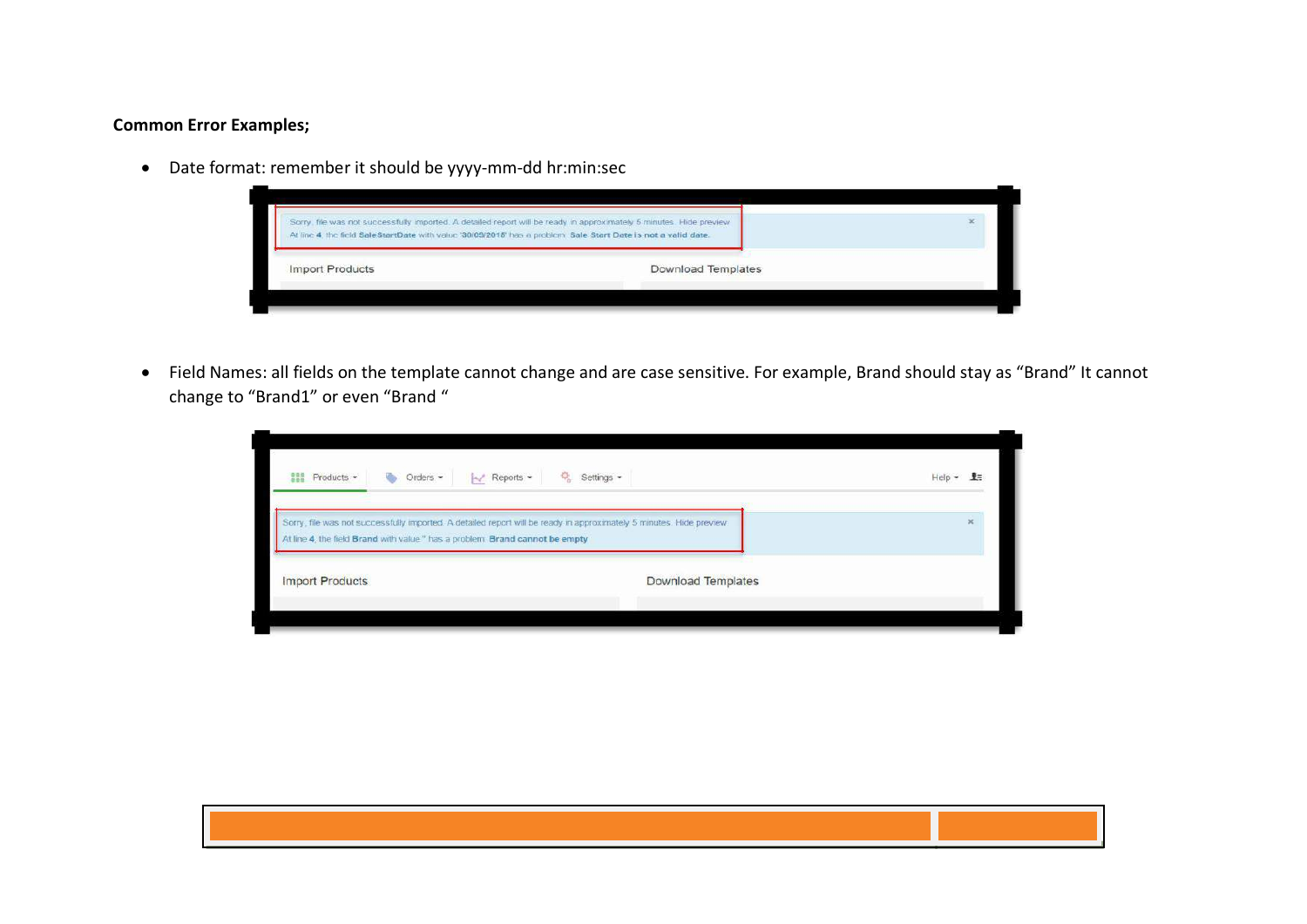## **Common Error Examples;**

• Date format: remember it should be yyyy-mm-dd hr:min:sec



• Field Names: all fields on the template cannot change and are case sensitive. For example, Brand should stay as "Brand" It cannot change to "Brand1" or even "Brand "

| Products -<br>888 | Orders -<br>۰                                                                | Reports - | Settings -                                                                                                          | 上手<br>$Heip -$ |
|-------------------|------------------------------------------------------------------------------|-----------|---------------------------------------------------------------------------------------------------------------------|----------------|
|                   | At line 4, the field Brand with value " has a problem: Brand cannot be empty |           | Sorry, file was not successfully imported. A detailed report will be ready in approximately 5 minutes. Hide preview | $\mathbbm{X}$  |
|                   |                                                                              |           | <b>Download Templates</b>                                                                                           |                |

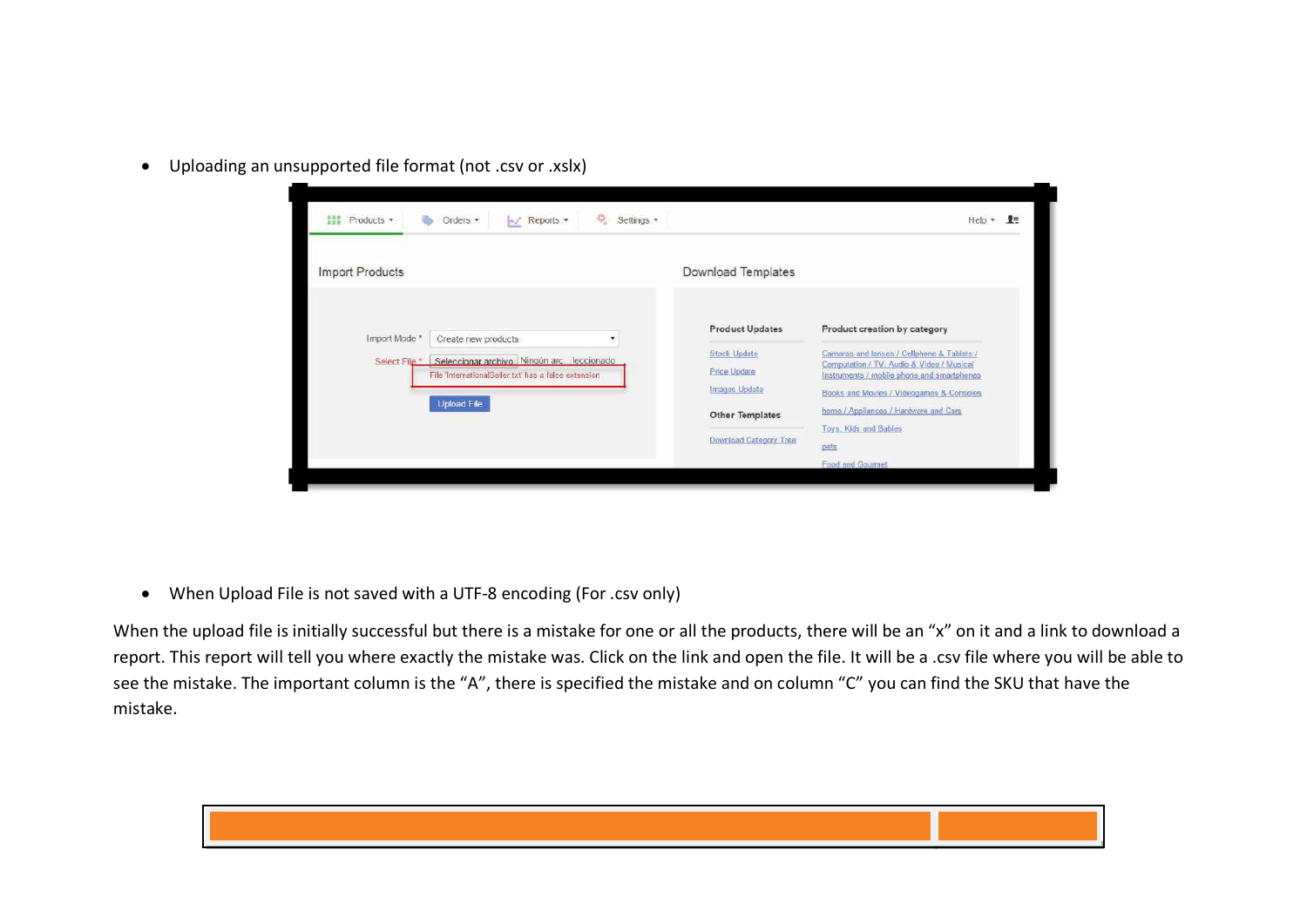• Uploading an unsupported file format (not .csv or .xslx)

| 蛲<br>Settings -<br>Products $\tau$<br>150<br>Orders -<br>Reports -<br>$\sim$                                                                                                    |                                                                                                                                    | 上<br>Help -                                                                                                                                                                                                                                                                                                     |
|---------------------------------------------------------------------------------------------------------------------------------------------------------------------------------|------------------------------------------------------------------------------------------------------------------------------------|-----------------------------------------------------------------------------------------------------------------------------------------------------------------------------------------------------------------------------------------------------------------------------------------------------------------|
| <b>Import Products</b>                                                                                                                                                          | <b>Download Templates</b>                                                                                                          |                                                                                                                                                                                                                                                                                                                 |
| Import Mode *<br>Create new products<br>Seleccionar archivo Ningún arc., leccionado<br>Select File<br>File InternationalSeller.txt' has a false extension<br><b>Upload File</b> | <b>Product Updates</b><br><b>Stock Update</b><br>Price Update<br>Images Update<br><b>Other Templates</b><br>Download Category Tree | Product creation by category<br>Camaras and lenses / Cellphone & Tablets /<br>Computation / TV, Audio & Video / Musical<br>Instruments / mobile phone and smartphones<br>Books and Movies / Videogames & Consoles<br>home / Appliances / Hardware and Cars<br>Toys, Kids and Babies<br>pets<br>Food and Gourmet |

• When Upload File is not saved with a UTF-8 encoding (For .csv only)

When the upload file is initially successful but there is a mistake for one or all the products, there will be an "x" on it and a link to download a report. This report will tell you where exactly the mistake was. Click on the link and open the file. It will be a .csv file where you will be able to see the mistake. The important column is the "A", there is specified the mistake and on column "C" you can find the SKU that have the mistake.